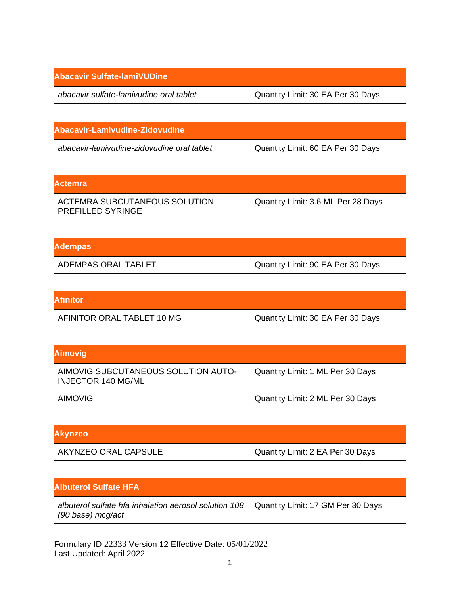| Abacavir Sulfate-lamiVUDine             |                                   |
|-----------------------------------------|-----------------------------------|
| abacavir sulfate-lamivudine oral tablet | Quantity Limit: 30 EA Per 30 Days |

| abacavir-lamivudine-zidovudine oral tablet | Quantity Limit: 60 EA Per 30 Days |
|--------------------------------------------|-----------------------------------|

| lActemra                                                  |                                    |
|-----------------------------------------------------------|------------------------------------|
| ACTEMRA SUBCUTANEOUS SOLUTION<br><b>PREFILLED SYRINGE</b> | Quantity Limit: 3.6 ML Per 28 Days |

| <b>Adempas</b>      |                                   |
|---------------------|-----------------------------------|
| ADEMPAS ORAL TABLET | Quantity Limit: 90 EA Per 30 Days |

| <b>Afinitor</b>            |                                   |
|----------------------------|-----------------------------------|
| AFINITOR ORAL TABLET 10 MG | Quantity Limit: 30 EA Per 30 Days |

| <b>Aimovig</b>                                                   |                                  |
|------------------------------------------------------------------|----------------------------------|
| AIMOVIG SUBCUTANEOUS SOLUTION AUTO-<br><b>INJECTOR 140 MG/ML</b> | Quantity Limit: 1 ML Per 30 Days |
| <b>AIMOVIG</b>                                                   | Quantity Limit: 2 ML Per 30 Days |

| <b>Akynzeo</b>       |                                  |
|----------------------|----------------------------------|
| AKYNZEO ORAL CAPSULE | Quantity Limit: 2 EA Per 30 Days |

| <b>Albuterol Sulfate HFA</b>                                                                                                              |  |
|-------------------------------------------------------------------------------------------------------------------------------------------|--|
| albuterol sulfate hfa inhalation aerosol solution $108$   Quantity Limit: 17 GM Per 30 Days<br>$(90 \text{ base}) \text{ mcg}/\text{act}$ |  |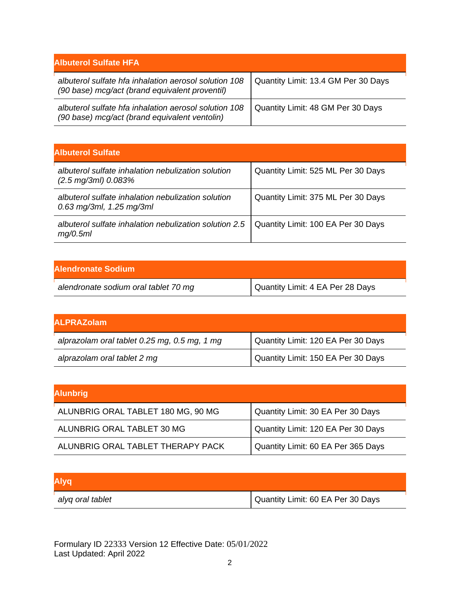| <b>Albuterol Sulfate HFA</b>                                                                            |                                     |
|---------------------------------------------------------------------------------------------------------|-------------------------------------|
| albuterol sulfate hfa inhalation aerosol solution 108<br>(90 base) mcg/act (brand equivalent proventil) | Quantity Limit: 13.4 GM Per 30 Days |
| albuterol sulfate hfa inhalation aerosol solution 108<br>(90 base) mcg/act (brand equivalent ventolin)  | Quantity Limit: 48 GM Per 30 Days   |

| <b>Albuterol Sulfate</b>                                                            |                                    |
|-------------------------------------------------------------------------------------|------------------------------------|
| albuterol sulfate inhalation nebulization solution<br>$(2.5 \text{ mg/3ml})$ 0.083% | Quantity Limit: 525 ML Per 30 Days |
| albuterol sulfate inhalation nebulization solution<br>$0.63$ mg/3ml, 1.25 mg/3ml    | Quantity Limit: 375 ML Per 30 Days |
| albuterol sulfate inhalation nebulization solution 2.5<br>mq/0.5ml                  | Quantity Limit: 100 EA Per 30 Days |

| Alendronate Sodium                   |                                  |
|--------------------------------------|----------------------------------|
| alendronate sodium oral tablet 70 mg | Quantity Limit: 4 EA Per 28 Days |

| <b>ALPRAZolam</b>                            |                                    |
|----------------------------------------------|------------------------------------|
| alprazolam oral tablet 0.25 mg, 0.5 mg, 1 mg | Quantity Limit: 120 EA Per 30 Days |
| alprazolam oral tablet 2 mg                  | Quantity Limit: 150 EA Per 30 Days |

| <b>Alunbrig</b>                    |                                    |
|------------------------------------|------------------------------------|
| ALUNBRIG ORAL TABLET 180 MG, 90 MG | Quantity Limit: 30 EA Per 30 Days  |
| ALUNBRIG ORAL TABLET 30 MG         | Quantity Limit: 120 EA Per 30 Days |
| ALUNBRIG ORAL TABLET THERAPY PACK  | Quantity Limit: 60 EA Per 365 Days |

| <b>Alyq</b>      |                                   |
|------------------|-----------------------------------|
| alyq oral tablet | Quantity Limit: 60 EA Per 30 Days |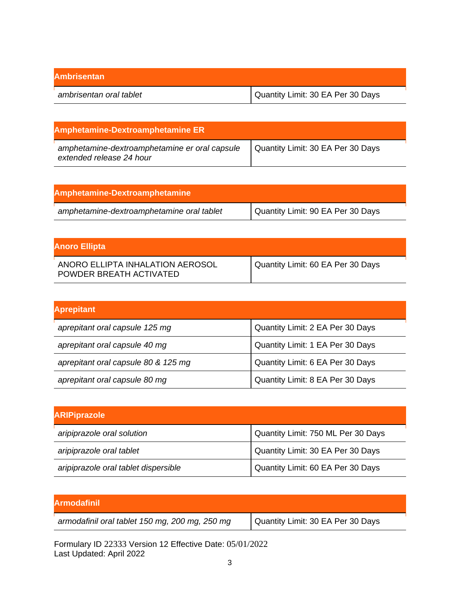| <b>Ambrisentan</b>      |                                   |
|-------------------------|-----------------------------------|
| ambrisentan oral tablet | Quantity Limit: 30 EA Per 30 Days |

| <b>Amphetamine-Dextroamphetamine ER</b>                                   |                                   |
|---------------------------------------------------------------------------|-----------------------------------|
| amphetamine-dextroamphetamine er oral capsule<br>extended release 24 hour | Quantity Limit: 30 EA Per 30 Days |

| Amphetamine-Dextroamphetamine             |                                   |
|-------------------------------------------|-----------------------------------|
| amphetamine-dextroamphetamine oral tablet | Quantity Limit: 90 EA Per 30 Days |

| <b>Anoro Ellipta</b>                                        |                                   |
|-------------------------------------------------------------|-----------------------------------|
| ANORO ELLIPTA INHALATION AEROSOL<br>POWDER BREATH ACTIVATED | Quantity Limit: 60 EA Per 30 Days |

| <b>Aprepitant</b>                   |                                  |
|-------------------------------------|----------------------------------|
| aprepitant oral capsule 125 mg      | Quantity Limit: 2 EA Per 30 Days |
| aprepitant oral capsule 40 mg       | Quantity Limit: 1 EA Per 30 Days |
| aprepitant oral capsule 80 & 125 mg | Quantity Limit: 6 EA Per 30 Days |
| aprepitant oral capsule 80 mg       | Quantity Limit: 8 EA Per 30 Days |

| <b>ARIPiprazole</b>                  |                                    |
|--------------------------------------|------------------------------------|
| aripiprazole oral solution           | Quantity Limit: 750 ML Per 30 Days |
| aripiprazole oral tablet             | Quantity Limit: 30 EA Per 30 Days  |
| aripiprazole oral tablet dispersible | Quantity Limit: 60 EA Per 30 Days  |

| <b>Armodafinil</b>                             |                                   |
|------------------------------------------------|-----------------------------------|
| armodafinil oral tablet 150 mg, 200 mg, 250 mg | Quantity Limit: 30 EA Per 30 Days |
|                                                |                                   |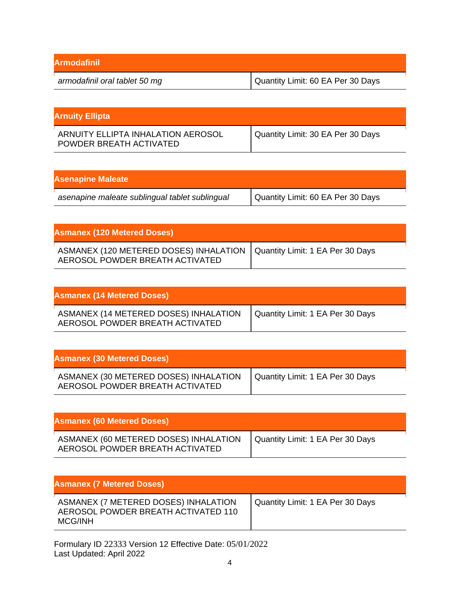| <b>Armodafinil</b>            |                                   |
|-------------------------------|-----------------------------------|
| armodafinil oral tablet 50 mg | Quantity Limit: 60 EA Per 30 Days |

| <b>Arnuity Ellipta</b>                                        |                                   |
|---------------------------------------------------------------|-----------------------------------|
| ARNUITY ELLIPTA INHALATION AEROSOL<br>POWDER BREATH ACTIVATED | Quantity Limit: 30 EA Per 30 Days |

| <b>Asenapine Maleate</b>                       |                                   |
|------------------------------------------------|-----------------------------------|
| asenapine maleate sublingual tablet sublingual | Quantity Limit: 60 EA Per 30 Days |

| <b>Asmanex (120 Metered Doses)</b>                                        |                                  |
|---------------------------------------------------------------------------|----------------------------------|
| ASMANEX (120 METERED DOSES) INHALATION<br>AEROSOL POWDER BREATH ACTIVATED | Quantity Limit: 1 EA Per 30 Days |

| <b>Asmanex (14 Metered Doses)</b>                                        |                                  |
|--------------------------------------------------------------------------|----------------------------------|
| ASMANEX (14 METERED DOSES) INHALATION<br>AEROSOL POWDER BREATH ACTIVATED | Quantity Limit: 1 EA Per 30 Days |

| <b>Asmanex (30 Metered Doses)</b>                                        |                                  |
|--------------------------------------------------------------------------|----------------------------------|
| ASMANEX (30 METERED DOSES) INHALATION<br>AEROSOL POWDER BREATH ACTIVATED | Quantity Limit: 1 EA Per 30 Days |

| <b>Asmanex (60 Metered Doses)</b>                                        |                                  |
|--------------------------------------------------------------------------|----------------------------------|
| ASMANEX (60 METERED DOSES) INHALATION<br>AEROSOL POWDER BREATH ACTIVATED | Quantity Limit: 1 EA Per 30 Days |

| <b>Asmanex (7 Metered Doses)</b>                                                       |                                  |
|----------------------------------------------------------------------------------------|----------------------------------|
| ASMANEX (7 METERED DOSES) INHALATION<br>AEROSOL POWDER BREATH ACTIVATED 110<br>MCG/INH | Quantity Limit: 1 EA Per 30 Days |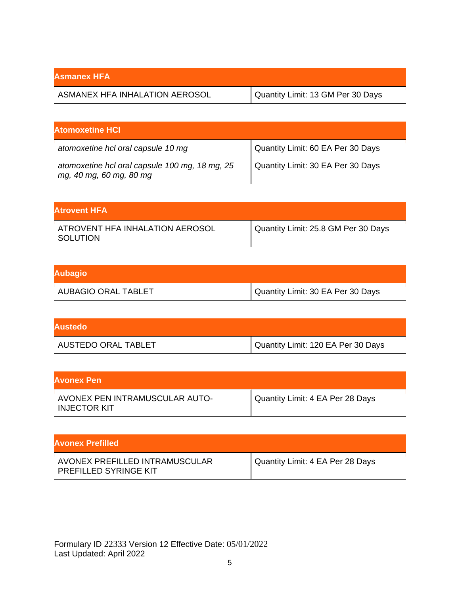| Asmanex HFA                    |                                   |
|--------------------------------|-----------------------------------|
| ASMANEX HFA INHALATION AEROSOL | Quantity Limit: 13 GM Per 30 Days |

| <b>Atomoxetine HCI</b>                                                    |                                   |
|---------------------------------------------------------------------------|-----------------------------------|
| atomoxetine hcl oral capsule 10 mg                                        | Quantity Limit: 60 EA Per 30 Days |
| atomoxetine hcl oral capsule 100 mg, 18 mg, 25<br>mg, 40 mg, 60 mg, 80 mg | Quantity Limit: 30 EA Per 30 Days |

| lAtrovent HFA .                             |                                     |
|---------------------------------------------|-------------------------------------|
| ATROVENT HFA INHALATION AEROSOL<br>SOLUTION | Quantity Limit: 25.8 GM Per 30 Days |

| <b>Aubagio</b>      |                                     |
|---------------------|-------------------------------------|
| AUBAGIO ORAL TABLET | I Quantity Limit: 30 EA Per 30 Days |

| <b>Austedo</b>      |                                    |
|---------------------|------------------------------------|
| AUSTEDO ORAL TABLET | Quantity Limit: 120 EA Per 30 Days |

| <b>Avonex Pen</b>                                     |                                  |
|-------------------------------------------------------|----------------------------------|
| AVONEX PEN INTRAMUSCULAR AUTO-<br><b>INJECTOR KIT</b> | Quantity Limit: 4 EA Per 28 Days |

| <b>Avonex Prefilled</b>                                        |                                  |
|----------------------------------------------------------------|----------------------------------|
| AVONEX PREFILLED INTRAMUSCULAR<br><b>PREFILLED SYRINGE KIT</b> | Quantity Limit: 4 EA Per 28 Days |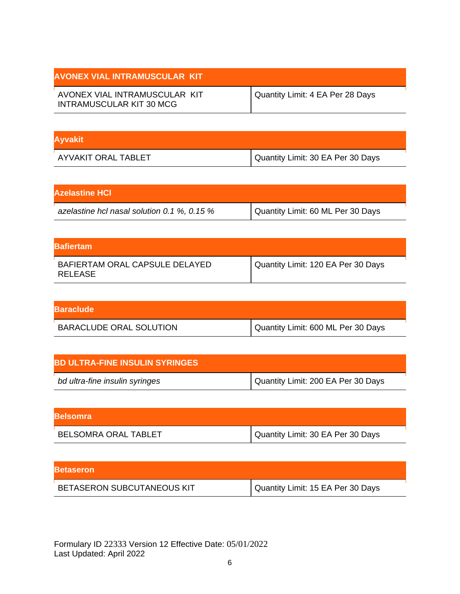| <b>AVONEX VIAL INTRAMUSCULAR KIT</b>                      |                                  |
|-----------------------------------------------------------|----------------------------------|
| AVONEX VIAL INTRAMUSCULAR KIT<br>INTRAMUSCULAR KIT 30 MCG | Quantity Limit: 4 EA Per 28 Days |

| <b>Ayvakit</b>      |                                   |
|---------------------|-----------------------------------|
| AYVAKIT ORAL TABLET | Quantity Limit: 30 EA Per 30 Days |

| <b>Azelastine HCI</b>                       |                                   |
|---------------------------------------------|-----------------------------------|
| azelastine hcl nasal solution 0.1 %, 0.15 % | Quantity Limit: 60 ML Per 30 Days |

| <b>Bafiertam</b>                          |                                    |
|-------------------------------------------|------------------------------------|
| BAFIERTAM ORAL CAPSULE DELAYED<br>RELEASE | Quantity Limit: 120 EA Per 30 Days |

| <b>Baraclude</b>               |                                    |
|--------------------------------|------------------------------------|
| <b>BARACLUDE ORAL SOLUTION</b> | Quantity Limit: 600 ML Per 30 Days |

| <b>BD ULTRA-FINE INSULIN SYRINGES</b> |                                    |
|---------------------------------------|------------------------------------|
| bd ultra-fine insulin syringes        | Quantity Limit: 200 EA Per 30 Days |

| <b>IBelsomra</b>            |                                   |
|-----------------------------|-----------------------------------|
| <b>BELSOMRA ORAL TABLET</b> | Quantity Limit: 30 EA Per 30 Days |

| <b>Betaseron</b>                  |                                   |
|-----------------------------------|-----------------------------------|
| <b>BETASERON SUBCUTANEOUS KIT</b> | Quantity Limit: 15 EA Per 30 Days |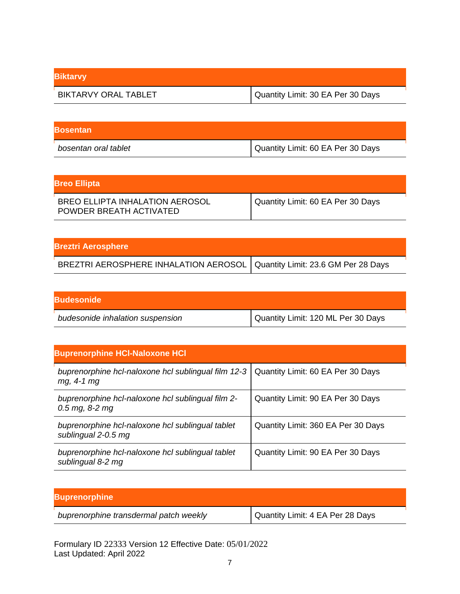| <b>Biktarvy</b>             |                                   |
|-----------------------------|-----------------------------------|
| <b>BIKTARVY ORAL TABLET</b> | Quantity Limit: 30 EA Per 30 Days |

| <b>IBosentan</b>     |                                   |
|----------------------|-----------------------------------|
| bosentan oral tablet | Quantity Limit: 60 EA Per 30 Days |

| <b>Breo Ellipta</b>                                               |                                   |
|-------------------------------------------------------------------|-----------------------------------|
| <b>BREO ELLIPTA INHALATION AEROSOL</b><br>POWDER BREATH ACTIVATED | Quantity Limit: 60 EA Per 30 Days |

| <b>Breztri Aerosphere</b>                                                   |  |
|-----------------------------------------------------------------------------|--|
| BREZTRI AEROSPHERE INHALATION AEROSOL   Quantity Limit: 23.6 GM Per 28 Days |  |

| <b>Budesonide</b>                |                                    |
|----------------------------------|------------------------------------|
| budesonide inhalation suspension | Quantity Limit: 120 ML Per 30 Days |

| <b>Buprenorphine HCI-Naloxone HCI</b>                                   |                                    |
|-------------------------------------------------------------------------|------------------------------------|
| buprenorphine hcl-naloxone hcl sublingual film 12-3<br>$mg, 4-1 mg$     | Quantity Limit: 60 EA Per 30 Days  |
| buprenorphine hcl-naloxone hcl sublingual film 2-<br>$0.5$ mg, 8-2 mg   | Quantity Limit: 90 EA Per 30 Days  |
| buprenorphine hcl-naloxone hcl sublingual tablet<br>sublingual 2-0.5 mg | Quantity Limit: 360 EA Per 30 Days |
| buprenorphine hcl-naloxone hcl sublingual tablet<br>sublingual 8-2 mg   | Quantity Limit: 90 EA Per 30 Days  |

| <b>Buprenorphine</b>                   |                                  |
|----------------------------------------|----------------------------------|
| buprenorphine transdermal patch weekly | Quantity Limit: 4 EA Per 28 Days |
|                                        |                                  |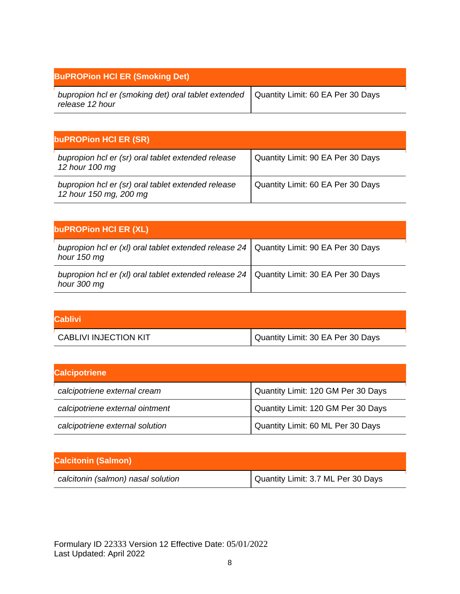| <b>BuPROPion HCI ER (Smoking Det)</b>                                                                      |  |
|------------------------------------------------------------------------------------------------------------|--|
| bupropion hcl er (smoking det) oral tablet extended   Quantity Limit: 60 EA Per 30 Days<br>release 12 hour |  |

| buPROPion HCI ER (SR)                                                        |                                   |
|------------------------------------------------------------------------------|-----------------------------------|
| bupropion hcl er (sr) oral tablet extended release<br>12 hour 100 mg         | Quantity Limit: 90 EA Per 30 Days |
| bupropion hcl er (sr) oral tablet extended release<br>12 hour 150 mg, 200 mg | Quantity Limit: 60 EA Per 30 Days |

| buPROPion HCI ER (XL)                                                                                    |  |
|----------------------------------------------------------------------------------------------------------|--|
| bupropion hcl er (xl) oral tablet extended release $24$ Quantity Limit: 90 EA Per 30 Days<br>hour 150 mg |  |
| bupropion hcl er (xl) oral tablet extended release $24$ Quantity Limit: 30 EA Per 30 Days<br>hour 300 mg |  |

| <b>Cablivi</b>               |                                   |
|------------------------------|-----------------------------------|
| <b>CABLIVI INJECTION KIT</b> | Quantity Limit: 30 EA Per 30 Days |

| <b>Calcipotriene</b>            |                                    |
|---------------------------------|------------------------------------|
| calcipotriene external cream    | Quantity Limit: 120 GM Per 30 Days |
| calcipotriene external ointment | Quantity Limit: 120 GM Per 30 Days |
| calcipotriene external solution | Quantity Limit: 60 ML Per 30 Days  |

| <b>Calcitonin (Salmon)</b>         |                                    |
|------------------------------------|------------------------------------|
| calcitonin (salmon) nasal solution | Quantity Limit: 3.7 ML Per 30 Days |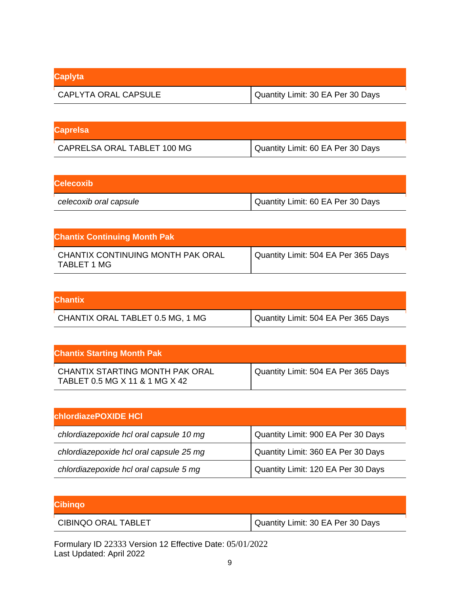| <b>Caplyta</b>       |                                   |
|----------------------|-----------------------------------|
| CAPLYTA ORAL CAPSULE | Quantity Limit: 30 EA Per 30 Days |

| <b>Caprelsa</b>             |                                   |
|-----------------------------|-----------------------------------|
| CAPRELSA ORAL TABLET 100 MG | Quantity Limit: 60 EA Per 30 Days |

| <b>Celecoxib</b>       |                                     |
|------------------------|-------------------------------------|
| celecoxib oral capsule | I Quantity Limit: 60 EA Per 30 Days |

| <b>Chantix Continuing Month Pak</b>              |                                     |
|--------------------------------------------------|-------------------------------------|
| CHANTIX CONTINUING MONTH PAK ORAL<br>TABLET 1 MG | Quantity Limit: 504 EA Per 365 Days |

| <b>Chantix</b>                   |                                     |
|----------------------------------|-------------------------------------|
| CHANTIX ORAL TABLET 0.5 MG, 1 MG | Quantity Limit: 504 EA Per 365 Days |

| <b>Chantix Starting Month Pak</b>                                 |                                     |
|-------------------------------------------------------------------|-------------------------------------|
| CHANTIX STARTING MONTH PAK ORAL<br>TABLET 0.5 MG X 11 & 1 MG X 42 | Quantity Limit: 504 EA Per 365 Days |

| <b>chlordiazePOXIDE HCI</b>             |                                    |
|-----------------------------------------|------------------------------------|
| chlordiazepoxide hcl oral capsule 10 mg | Quantity Limit: 900 EA Per 30 Days |
| chlordiazepoxide hcl oral capsule 25 mg | Quantity Limit: 360 EA Per 30 Days |
| chlordiazepoxide hcl oral capsule 5 mg  | Quantity Limit: 120 EA Per 30 Days |

| <b>Cibingo</b>      |                                   |
|---------------------|-----------------------------------|
| CIBINQO ORAL TABLET | Quantity Limit: 30 EA Per 30 Days |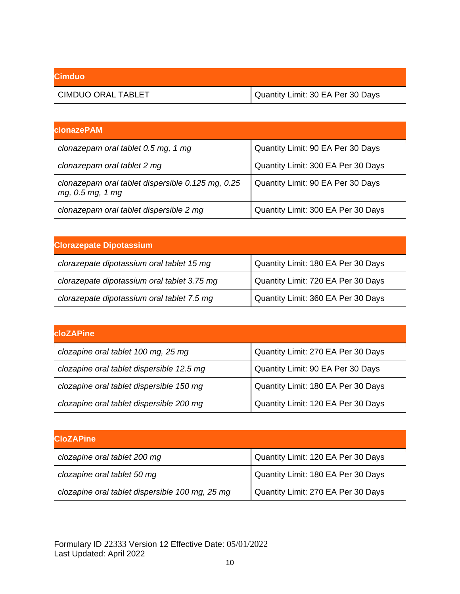| <b>Cimduo</b>      |                                   |
|--------------------|-----------------------------------|
| CIMDUO ORAL TABLET | Quantity Limit: 30 EA Per 30 Days |

| <b>clonazePAM</b>                                                     |                                    |
|-----------------------------------------------------------------------|------------------------------------|
| clonazepam oral tablet 0.5 mg, 1 mg                                   | Quantity Limit: 90 EA Per 30 Days  |
| clonazepam oral tablet 2 mg                                           | Quantity Limit: 300 EA Per 30 Days |
| clonazepam oral tablet dispersible 0.125 mg, 0.25<br>mg, 0.5 mg, 1 mg | Quantity Limit: 90 EA Per 30 Days  |
| clonazepam oral tablet dispersible 2 mg                               | Quantity Limit: 300 EA Per 30 Days |

| <b>Clorazepate Dipotassium</b>              |                                    |
|---------------------------------------------|------------------------------------|
| clorazepate dipotassium oral tablet 15 mg   | Quantity Limit: 180 EA Per 30 Days |
| clorazepate dipotassium oral tablet 3.75 mg | Quantity Limit: 720 EA Per 30 Days |
| clorazepate dipotassium oral tablet 7.5 mg  | Quantity Limit: 360 EA Per 30 Days |

| <b>cloZAPine</b>                          |                                    |
|-------------------------------------------|------------------------------------|
| clozapine oral tablet 100 mg, 25 mg       | Quantity Limit: 270 EA Per 30 Days |
| clozapine oral tablet dispersible 12.5 mg | Quantity Limit: 90 EA Per 30 Days  |
| clozapine oral tablet dispersible 150 mg  | Quantity Limit: 180 EA Per 30 Days |
| clozapine oral tablet dispersible 200 mg  | Quantity Limit: 120 EA Per 30 Days |

| <b>CloZAPine</b>                                |                                    |
|-------------------------------------------------|------------------------------------|
| clozapine oral tablet 200 mg                    | Quantity Limit: 120 EA Per 30 Days |
| clozapine oral tablet 50 mg                     | Quantity Limit: 180 EA Per 30 Days |
| clozapine oral tablet dispersible 100 mg, 25 mg | Quantity Limit: 270 EA Per 30 Days |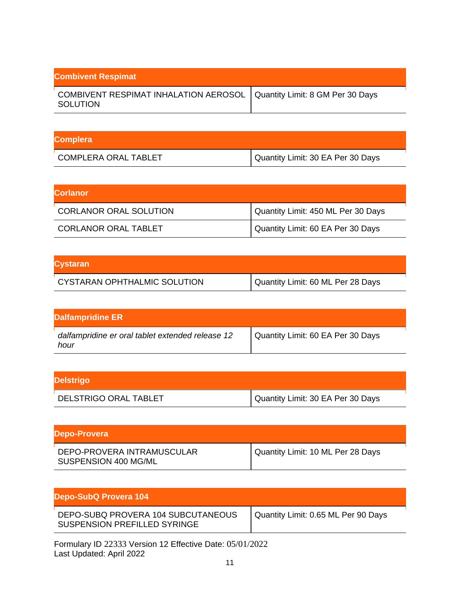| <b>Combivent Respimat</b>                                                            |  |
|--------------------------------------------------------------------------------------|--|
| COMBIVENT RESPIMAT INHALATION AEROSOL   Quantity Limit: 8 GM Per 30 Days<br>SOLUTION |  |

| <b>Complera</b>             |                                   |
|-----------------------------|-----------------------------------|
| <b>COMPLERA ORAL TABLET</b> | Quantity Limit: 30 EA Per 30 Days |

| <b>Corlanor</b>               |                                    |
|-------------------------------|------------------------------------|
| <b>CORLANOR ORAL SOLUTION</b> | Quantity Limit: 450 ML Per 30 Days |
| CORLANOR ORAL TABLET          | Quantity Limit: 60 EA Per 30 Days  |

| <b>Cystaran</b>              |                                   |
|------------------------------|-----------------------------------|
| CYSTARAN OPHTHALMIC SOLUTION | Quantity Limit: 60 ML Per 28 Days |

| Dalfampridine ER                                         |                                   |
|----------------------------------------------------------|-----------------------------------|
| dalfampridine er oral tablet extended release 12<br>hour | Quantity Limit: 60 EA Per 30 Days |

| <b>Delstrigo</b>      |                                   |
|-----------------------|-----------------------------------|
| DELSTRIGO ORAL TABLET | Quantity Limit: 30 EA Per 30 Days |

| Depo-Provera                                       |                                   |
|----------------------------------------------------|-----------------------------------|
| DEPO-PROVERA INTRAMUSCULAR<br>SUSPENSION 400 MG/ML | Quantity Limit: 10 ML Per 28 Days |

| Depo-SubQ Provera 104                                                                                                                                                                                                                                                                                                                     |                                     |
|-------------------------------------------------------------------------------------------------------------------------------------------------------------------------------------------------------------------------------------------------------------------------------------------------------------------------------------------|-------------------------------------|
| DEPO-SUBQ PROVERA 104 SUBCUTANEOUS<br>SUSPENSION PREFILLED SYRINGE                                                                                                                                                                                                                                                                        | Quantity Limit: 0.65 ML Per 90 Days |
| $\Gamma_{2}$ = $\Gamma_{2}$ = $\Gamma_{2}$ = $\Gamma_{2}$ = $\Gamma_{3}$ = $\Gamma_{4}$ = $\Gamma_{5}$ = $\Gamma_{6}$ = $\Gamma_{7}$ = $\Gamma_{8}$ = $\Gamma_{1}$ = $\Gamma_{1}$ = $\Gamma_{1}$ = $\Gamma_{1}$ = $\Gamma_{1}$ = $\Gamma_{1}$ = $\Gamma_{1}$ = $\Gamma_{1}$ = $\Gamma_{1}$ = $\Gamma_{1}$ = $\Gamma_{1}$ = $\Gamma_{1}$ = |                                     |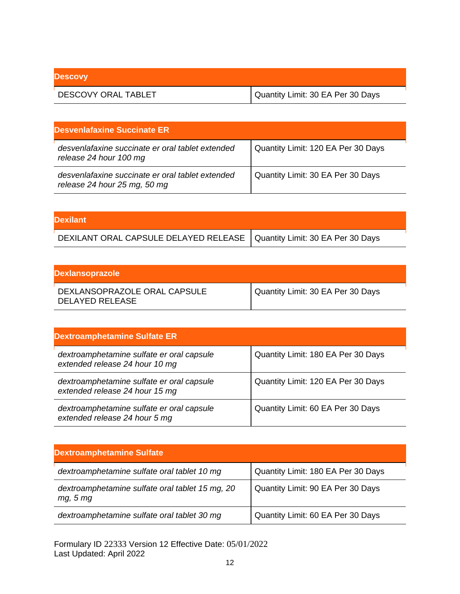| <b>Descovy</b>             |                                   |
|----------------------------|-----------------------------------|
| <b>DESCOVY ORAL TABLET</b> | Quantity Limit: 30 EA Per 30 Days |

| <b>Desvenlafaxine Succinate ER</b>                                               |                                    |
|----------------------------------------------------------------------------------|------------------------------------|
| desvenlafaxine succinate er oral tablet extended<br>release 24 hour 100 mg       | Quantity Limit: 120 EA Per 30 Days |
| desvenlafaxine succinate er oral tablet extended<br>release 24 hour 25 mg, 50 mg | Quantity Limit: 30 EA Per 30 Days  |

| <b>Dexilant</b>                                                           |  |
|---------------------------------------------------------------------------|--|
| DEXILANT ORAL CAPSULE DELAYED RELEASE   Quantity Limit: 30 EA Per 30 Days |  |

| <b>Dexlansoprazole</b>                          |                                   |
|-------------------------------------------------|-----------------------------------|
| DEXLANSOPRAZOLE ORAL CAPSULE<br>DELAYED RELEASE | Quantity Limit: 30 EA Per 30 Days |

| <b>Dextroamphetamine Sulfate ER</b>                                         |                                    |
|-----------------------------------------------------------------------------|------------------------------------|
| dextroamphetamine sulfate er oral capsule<br>extended release 24 hour 10 mg | Quantity Limit: 180 EA Per 30 Days |
| dextroamphetamine sulfate er oral capsule<br>extended release 24 hour 15 mg | Quantity Limit: 120 EA Per 30 Days |
| dextroamphetamine sulfate er oral capsule<br>extended release 24 hour 5 mg  | Quantity Limit: 60 EA Per 30 Days  |

| <b>Dextroamphetamine Sulfate</b>                            |                                    |
|-------------------------------------------------------------|------------------------------------|
| dextroamphetamine sulfate oral tablet 10 mg                 | Quantity Limit: 180 EA Per 30 Days |
| dextroamphetamine sulfate oral tablet 15 mg, 20<br>mg, 5 mg | Quantity Limit: 90 EA Per 30 Days  |
| dextroamphetamine sulfate oral tablet 30 mg                 | Quantity Limit: 60 EA Per 30 Days  |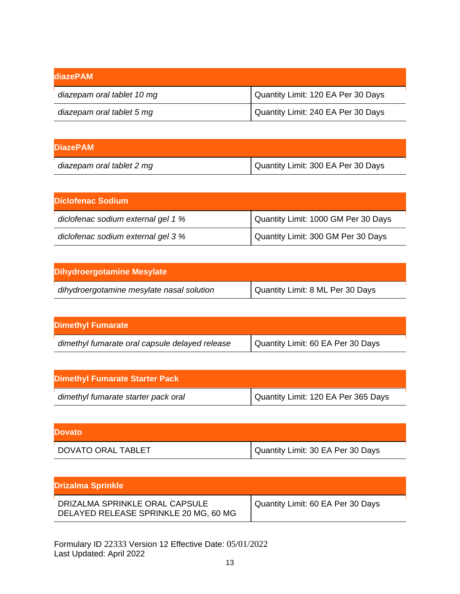| ldiazePAM                  |                                    |
|----------------------------|------------------------------------|
| diazepam oral tablet 10 mg | Quantity Limit: 120 EA Per 30 Days |
| diazepam oral tablet 5 mg  | Quantity Limit: 240 EA Per 30 Days |

| <b>DiazePAM</b>           |                                      |
|---------------------------|--------------------------------------|
| diazepam oral tablet 2 mg | I Quantity Limit: 300 EA Per 30 Days |

| <b>Diclofenac Sodium</b>           |                                     |
|------------------------------------|-------------------------------------|
| diclofenac sodium external gel 1 % | Quantity Limit: 1000 GM Per 30 Days |
| diclofenac sodium external gel 3 % | Quantity Limit: 300 GM Per 30 Days  |

| Dihydroergotamine Mesylate                |                                  |
|-------------------------------------------|----------------------------------|
| dihydroergotamine mesylate nasal solution | Quantity Limit: 8 ML Per 30 Days |

| <b>Dimethyl Fumarate</b>                       |                                   |
|------------------------------------------------|-----------------------------------|
| dimethyl fumarate oral capsule delayed release | Quantity Limit: 60 EA Per 30 Days |

| <b>Dimethyl Fumarate Starter Pack</b> |                                     |
|---------------------------------------|-------------------------------------|
| dimethyl fumarate starter pack oral   | Quantity Limit: 120 EA Per 365 Days |

| <b>Dovato</b>      |                                   |
|--------------------|-----------------------------------|
| DOVATO ORAL TABLET | Quantity Limit: 30 EA Per 30 Days |

| <b>Drizalma Sprinkle</b>                                                |                                   |
|-------------------------------------------------------------------------|-----------------------------------|
| DRIZALMA SPRINKLE ORAL CAPSULE<br>DELAYED RELEASE SPRINKLE 20 MG, 60 MG | Quantity Limit: 60 EA Per 30 Days |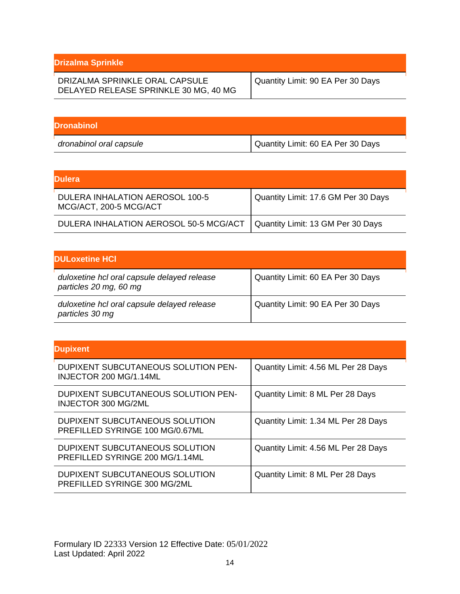| <b>Drizalma Sprinkle</b>                                                |                                   |
|-------------------------------------------------------------------------|-----------------------------------|
| DRIZALMA SPRINKLE ORAL CAPSULE<br>DELAYED RELEASE SPRINKLE 30 MG, 40 MG | Quantity Limit: 90 EA Per 30 Days |

| <b>IDronabinol</b>      |                                   |
|-------------------------|-----------------------------------|
| dronabinol oral capsule | Quantity Limit: 60 EA Per 30 Days |

| <b>Dulera</b>                                             |                                     |
|-----------------------------------------------------------|-------------------------------------|
| DULERA INHALATION AEROSOL 100-5<br>MCG/ACT, 200-5 MCG/ACT | Quantity Limit: 17.6 GM Per 30 Days |
| DULERA INHALATION AEROSOL 50-5 MCG/ACT                    | Quantity Limit: 13 GM Per 30 Days   |

| <b>IDULoxetine HCI</b>                                                |                                   |
|-----------------------------------------------------------------------|-----------------------------------|
| duloxetine hcl oral capsule delayed release<br>particles 20 mg, 60 mg | Quantity Limit: 60 EA Per 30 Days |
| duloxetine hcl oral capsule delayed release<br>particles 30 mg        | Quantity Limit: 90 EA Per 30 Days |

| <b>Dupixent</b>                                                   |                                     |
|-------------------------------------------------------------------|-------------------------------------|
| DUPIXENT SUBCUTANEOUS SOLUTION PEN-<br>INJECTOR 200 MG/1.14ML     | Quantity Limit: 4.56 ML Per 28 Days |
| DUPIXENT SUBCUTANEOUS SOLUTION PEN-<br>INJECTOR 300 MG/2ML        | Quantity Limit: 8 ML Per 28 Days    |
| DUPIXENT SUBCUTANEOUS SOLUTION<br>PREFILLED SYRINGE 100 MG/0.67ML | Quantity Limit: 1.34 ML Per 28 Days |
| DUPIXENT SUBCUTANEOUS SOLUTION<br>PREFILLED SYRINGE 200 MG/1.14ML | Quantity Limit: 4.56 ML Per 28 Days |
| DUPIXENT SUBCUTANEOUS SOLUTION<br>PREFILLED SYRINGE 300 MG/2ML    | Quantity Limit: 8 ML Per 28 Days    |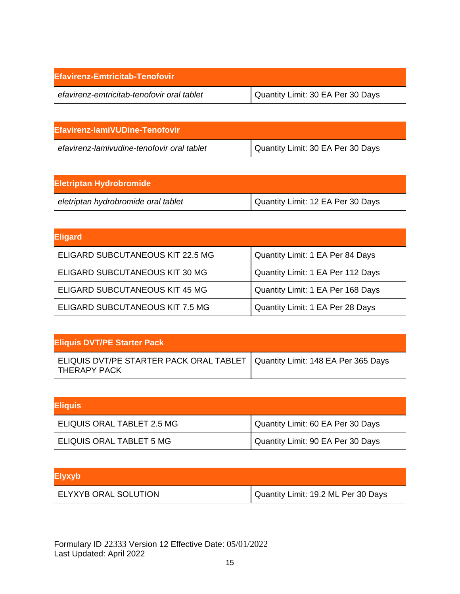| Efavirenz-Emtricitab-Tenofovir             |                                   |
|--------------------------------------------|-----------------------------------|
| efavirenz-emtricitab-tenofovir oral tablet | Quantity Limit: 30 EA Per 30 Days |

| <b>IEfavirenz-lamiVUDine-Tenofovir</b>     |                                   |
|--------------------------------------------|-----------------------------------|
| efavirenz-lamivudine-tenofovir oral tablet | Quantity Limit: 30 EA Per 30 Days |

| <b>Eletriptan Hydrobromide</b>      |                                   |
|-------------------------------------|-----------------------------------|
| eletriptan hydrobromide oral tablet | Quantity Limit: 12 EA Per 30 Days |

| <b>Eligard</b>                   |                                   |
|----------------------------------|-----------------------------------|
| ELIGARD SUBCUTANEOUS KIT 22.5 MG | Quantity Limit: 1 EA Per 84 Days  |
| ELIGARD SUBCUTANEOUS KIT 30 MG   | Quantity Limit: 1 EA Per 112 Days |
| ELIGARD SUBCUTANEOUS KIT 45 MG   | Quantity Limit: 1 EA Per 168 Days |
| ELIGARD SUBCUTANEOUS KIT 7.5 MG  | Quantity Limit: 1 EA Per 28 Days  |

| <b>Eliquis DVT/PE Starter Pack</b>                                                            |  |
|-----------------------------------------------------------------------------------------------|--|
| ELIQUIS DVT/PE STARTER PACK ORAL TABLET   Quantity Limit: 148 EA Per 365 Days<br>THERAPY PACK |  |

| <b>Eliquis</b>             |                                   |
|----------------------------|-----------------------------------|
| ELIQUIS ORAL TABLET 2.5 MG | Quantity Limit: 60 EA Per 30 Days |
| ELIQUIS ORAL TABLET 5 MG   | Quantity Limit: 90 EA Per 30 Days |

## **Elyxyb**

| <b>ELYXYB ORAL SOLUTION</b> | Quantity Limit: 19.2 ML Per 30 Days |
|-----------------------------|-------------------------------------|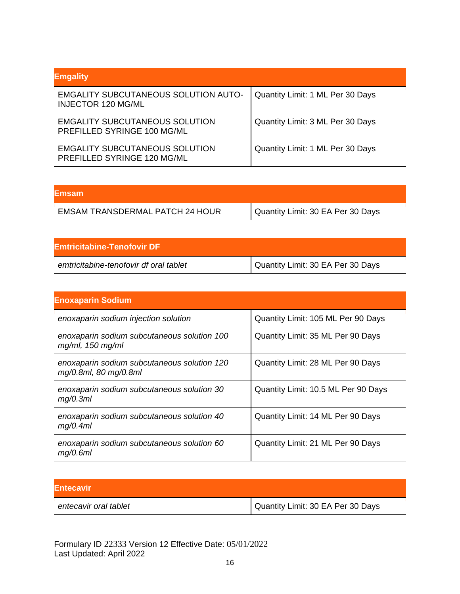| <b>Emgality</b>                                                          |                                  |
|--------------------------------------------------------------------------|----------------------------------|
| <b>EMGALITY SUBCUTANEOUS SOLUTION AUTO-</b><br><b>INJECTOR 120 MG/ML</b> | Quantity Limit: 1 ML Per 30 Days |
| <b>EMGALITY SUBCUTANEOUS SOLUTION</b><br>PREFILLED SYRINGE 100 MG/ML     | Quantity Limit: 3 ML Per 30 Days |
| <b>EMGALITY SUBCUTANEOUS SOLUTION</b><br>PREFILLED SYRINGE 120 MG/ML     | Quantity Limit: 1 ML Per 30 Days |

| <b>Emsam</b>                           |                                   |
|----------------------------------------|-----------------------------------|
| <b>EMSAM TRANSDERMAL PATCH 24 HOUR</b> | Quantity Limit: 30 EA Per 30 Days |

| <b>IEmtricitabine-Tenofovir DF</b>     |                                   |
|----------------------------------------|-----------------------------------|
| emtricitabine-tenofovir df oral tablet | Quantity Limit: 30 EA Per 30 Days |

| <b>Enoxaparin Sodium</b>                                             |                                     |
|----------------------------------------------------------------------|-------------------------------------|
| enoxaparin sodium injection solution                                 | Quantity Limit: 105 ML Per 90 Days  |
| enoxaparin sodium subcutaneous solution 100<br>$mg/ml$ , 150 mg/ml   | Quantity Limit: 35 ML Per 90 Days   |
| enoxaparin sodium subcutaneous solution 120<br>mg/0.8ml, 80 mg/0.8ml | Quantity Limit: 28 ML Per 90 Days   |
| enoxaparin sodium subcutaneous solution 30<br>mg/0.3ml               | Quantity Limit: 10.5 ML Per 90 Days |
| enoxaparin sodium subcutaneous solution 40<br>mg/0.4ml               | Quantity Limit: 14 ML Per 90 Days   |
| enoxaparin sodium subcutaneous solution 60<br>mq/0.6ml               | Quantity Limit: 21 ML Per 90 Days   |

| <b>Entecavir</b>      |                                   |
|-----------------------|-----------------------------------|
| entecavir oral tablet | Quantity Limit: 30 EA Per 30 Days |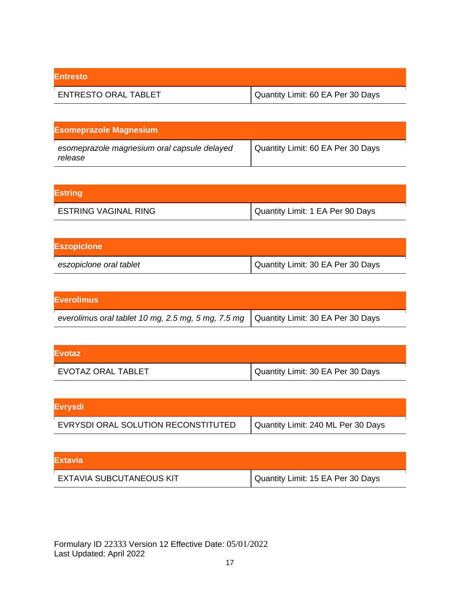| <b>Entresto</b>             |                                   |
|-----------------------------|-----------------------------------|
| <b>ENTRESTO ORAL TABLET</b> | Quantity Limit: 60 EA Per 30 Days |

| <b>Esomeprazole Magnesium</b>                          |                                   |
|--------------------------------------------------------|-----------------------------------|
| esomeprazole magnesium oral capsule delayed<br>release | Quantity Limit: 60 EA Per 30 Days |

| <b>Estring</b>              |                                  |
|-----------------------------|----------------------------------|
| <b>ESTRING VAGINAL RING</b> | Quantity Limit: 1 EA Per 90 Days |

| <b>Eszopicione</b>      |                                   |
|-------------------------|-----------------------------------|
| eszopiclone oral tablet | Quantity Limit: 30 EA Per 30 Days |

| <b>Everolimus</b>                                                                      |  |
|----------------------------------------------------------------------------------------|--|
| everolimus oral tablet 10 mg, 2.5 mg, 5 mg, 7.5 mg   Quantity Limit: 30 EA Per 30 Days |  |

| <b>IEvotaz</b>     |                                   |
|--------------------|-----------------------------------|
| EVOTAZ ORAL TABLET | Quantity Limit: 30 EA Per 30 Days |

| <b>Evrysdi</b>                      |                                    |
|-------------------------------------|------------------------------------|
| EVRYSDI ORAL SOLUTION RECONSTITUTED | Quantity Limit: 240 ML Per 30 Days |

| <b>IExtavia</b>                 |                                   |
|---------------------------------|-----------------------------------|
| <b>EXTAVIA SUBCUTANEOUS KIT</b> | Quantity Limit: 15 EA Per 30 Days |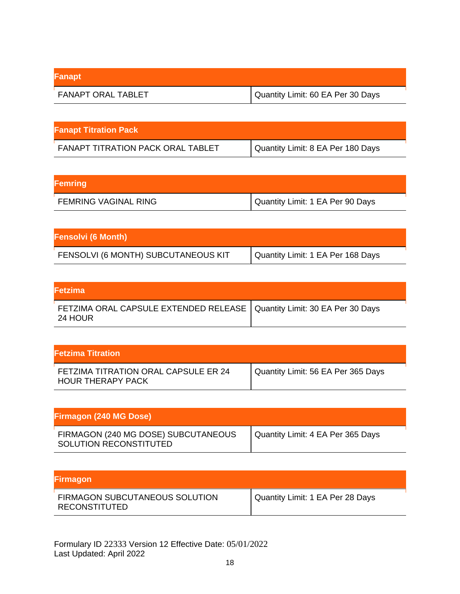| Fanapt                    |                                   |
|---------------------------|-----------------------------------|
| <b>FANAPT ORAL TABLET</b> | Quantity Limit: 60 EA Per 30 Days |

| <b>Fanapt Titration Pack</b>             |                                   |
|------------------------------------------|-----------------------------------|
| <b>FANAPT TITRATION PACK ORAL TABLET</b> | Quantity Limit: 8 EA Per 180 Days |

| Femring                     |                                  |
|-----------------------------|----------------------------------|
| <b>FEMRING VAGINAL RING</b> | Quantity Limit: 1 EA Per 90 Days |

| <b>Fensolvi (6 Month)</b>           |                                   |
|-------------------------------------|-----------------------------------|
| FENSOLVI (6 MONTH) SUBCUTANEOUS KIT | Quantity Limit: 1 EA Per 168 Days |

| <b>Fetzima</b>                                                                       |  |
|--------------------------------------------------------------------------------------|--|
| FETZIMA ORAL CAPSULE EXTENDED RELEASE   Quantity Limit: 30 EA Per 30 Days<br>24 HOUR |  |

| <b>Fetzima Titration</b>                                         |                                    |
|------------------------------------------------------------------|------------------------------------|
| FETZIMA TITRATION ORAL CAPSULE ER 24<br><b>HOUR THERAPY PACK</b> | Quantity Limit: 56 EA Per 365 Days |

| <b>Firmagon (240 MG Dose)</b>                                 |                                   |
|---------------------------------------------------------------|-----------------------------------|
| FIRMAGON (240 MG DOSE) SUBCUTANEOUS<br>SOLUTION RECONSTITUTED | Quantity Limit: 4 EA Per 365 Days |

| <b>Firmagon</b>                                 |                                  |
|-------------------------------------------------|----------------------------------|
| FIRMAGON SUBCUTANEOUS SOLUTION<br>RECONSTITUTED | Quantity Limit: 1 EA Per 28 Days |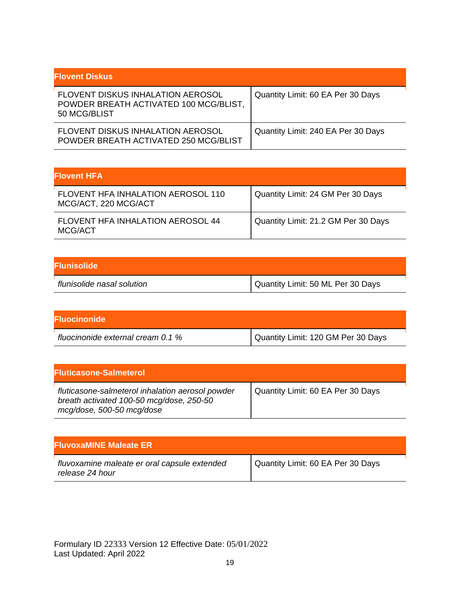| <b>Flovent Diskus</b>                                                                              |                                    |
|----------------------------------------------------------------------------------------------------|------------------------------------|
| <b>FLOVENT DISKUS INHALATION AEROSOL</b><br>POWDER BREATH ACTIVATED 100 MCG/BLIST,<br>50 MCG/BLIST | Quantity Limit: 60 EA Per 30 Days  |
| <b>FLOVENT DISKUS INHALATION AEROSOL</b><br>POWDER BREATH ACTIVATED 250 MCG/BLIST                  | Quantity Limit: 240 EA Per 30 Days |

| <b>Flovent HFA</b>                                         |                                     |
|------------------------------------------------------------|-------------------------------------|
| FLOVENT HFA INHALATION AEROSOL 110<br>MCG/ACT, 220 MCG/ACT | Quantity Limit: 24 GM Per 30 Days   |
| <b>FLOVENT HFA INHALATION AEROSOL 44</b><br>MCG/ACT        | Quantity Limit: 21.2 GM Per 30 Days |

| <b>Flunisolide</b>         |                                     |
|----------------------------|-------------------------------------|
| flunisolide nasal solution | I Quantity Limit: 50 ML Per 30 Days |

| <b>IFluocinonide</b>              |                                    |
|-----------------------------------|------------------------------------|
| fluocinonide external cream 0.1 % | Quantity Limit: 120 GM Per 30 Days |

| <b>Fluticasone-Salmeterol</b>                                                                                             |                                   |
|---------------------------------------------------------------------------------------------------------------------------|-----------------------------------|
| fluticasone-salmeterol inhalation aerosol powder<br>breath activated 100-50 mcg/dose, 250-50<br>mcg/dose, 500-50 mcg/dose | Quantity Limit: 60 EA Per 30 Days |

| <b>FluvoxaMINE Maleate ER</b>                                   |                                   |
|-----------------------------------------------------------------|-----------------------------------|
| fluvoxamine maleate er oral capsule extended<br>release 24 hour | Quantity Limit: 60 EA Per 30 Days |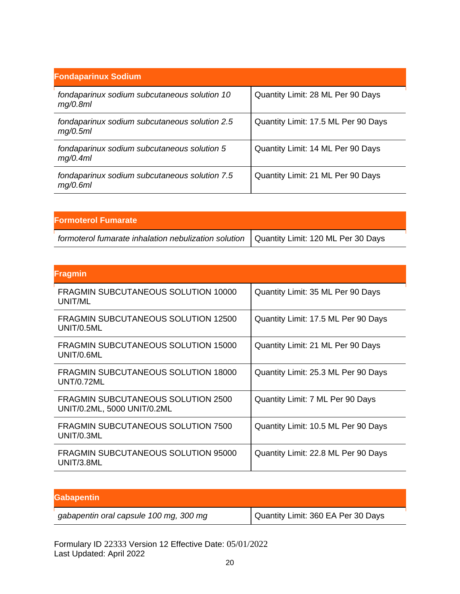| <b>Fondaparinux Sodium</b>                                |                                     |
|-----------------------------------------------------------|-------------------------------------|
| fondaparinux sodium subcutaneous solution 10<br>mg/0.8ml  | Quantity Limit: 28 ML Per 90 Days   |
| fondaparinux sodium subcutaneous solution 2.5<br>mg/0.5ml | Quantity Limit: 17.5 ML Per 90 Days |
| fondaparinux sodium subcutaneous solution 5<br>mq/0.4ml   | Quantity Limit: 14 ML Per 90 Days   |
| fondaparinux sodium subcutaneous solution 7.5<br>mg/0.6ml | Quantity Limit: 21 ML Per 90 Days   |

| <b>Formoterol Fumarate</b>                                                                |  |
|-------------------------------------------------------------------------------------------|--|
| formoterol fumarate inhalation nebulization solution   Quantity Limit: 120 ML Per 30 Days |  |

| <b>Fragmin</b>                                                    |                                     |
|-------------------------------------------------------------------|-------------------------------------|
| <b>FRAGMIN SUBCUTANEOUS SOLUTION 10000</b><br>UNIT/ML             | Quantity Limit: 35 ML Per 90 Days   |
| FRAGMIN SUBCUTANEOUS SOLUTION 12500<br>UNIT/0.5ML                 | Quantity Limit: 17.5 ML Per 90 Days |
| <b>FRAGMIN SUBCUTANEOUS SOLUTION 15000</b><br>UNIT/0.6ML          | Quantity Limit: 21 ML Per 90 Days   |
| <b>FRAGMIN SUBCUTANEOUS SOLUTION 18000</b><br>UNT/0.72ML          | Quantity Limit: 25.3 ML Per 90 Days |
| FRAGMIN SUBCUTANEOUS SOLUTION 2500<br>UNIT/0.2ML, 5000 UNIT/0.2ML | Quantity Limit: 7 ML Per 90 Days    |
| <b>FRAGMIN SUBCUTANEOUS SOLUTION 7500</b><br>UNIT/0.3ML           | Quantity Limit: 10.5 ML Per 90 Days |
| <b>FRAGMIN SUBCUTANEOUS SOLUTION 95000</b><br>UNIT/3.8ML          | Quantity Limit: 22.8 ML Per 90 Days |

| <b>Gabapentin</b>                      |                                    |
|----------------------------------------|------------------------------------|
| gabapentin oral capsule 100 mg, 300 mg | Quantity Limit: 360 EA Per 30 Days |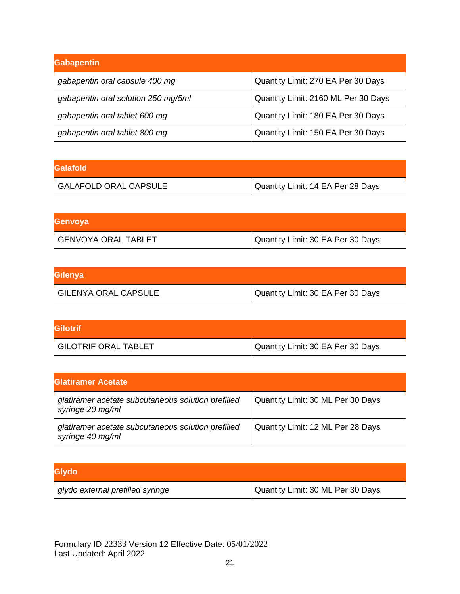| Gabapentin                          |                                     |
|-------------------------------------|-------------------------------------|
| gabapentin oral capsule 400 mg      | Quantity Limit: 270 EA Per 30 Days  |
| gabapentin oral solution 250 mg/5ml | Quantity Limit: 2160 ML Per 30 Days |
| gabapentin oral tablet 600 mg       | Quantity Limit: 180 EA Per 30 Days  |
| gabapentin oral tablet 800 mg       | Quantity Limit: 150 EA Per 30 Days  |

| lGalafold                    |                                   |
|------------------------------|-----------------------------------|
| <b>GALAFOLD ORAL CAPSULE</b> | Quantity Limit: 14 EA Per 28 Days |

| Genvoya                    |                                   |
|----------------------------|-----------------------------------|
| <b>GENVOYA ORAL TABLET</b> | Quantity Limit: 30 EA Per 30 Days |

| Gilenya                     |                                   |
|-----------------------------|-----------------------------------|
| <b>GILENYA ORAL CAPSULE</b> | Quantity Limit: 30 EA Per 30 Days |

| <b>Gilotrif</b>             |                                   |
|-----------------------------|-----------------------------------|
| <b>GILOTRIF ORAL TABLET</b> | Quantity Limit: 30 EA Per 30 Days |

| <b>IGlatiramer Acetate</b>                                             |                                   |
|------------------------------------------------------------------------|-----------------------------------|
| glatiramer acetate subcutaneous solution prefilled<br>syringe 20 mg/ml | Quantity Limit: 30 ML Per 30 Days |
| glatiramer acetate subcutaneous solution prefilled<br>syringe 40 mg/ml | Quantity Limit: 12 ML Per 28 Days |

| Glydo                            |                                   |
|----------------------------------|-----------------------------------|
| glydo external prefilled syringe | Quantity Limit: 30 ML Per 30 Days |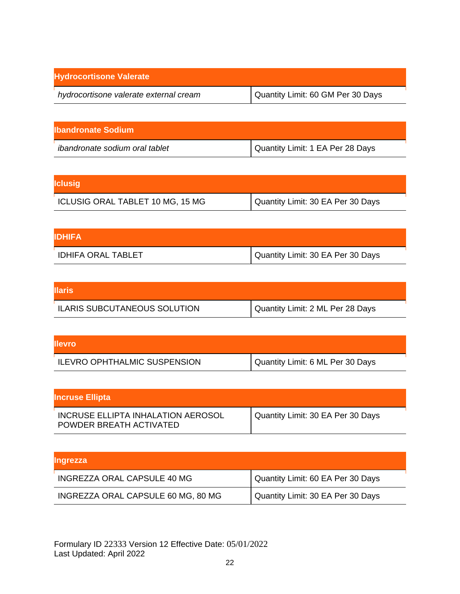| <b>Hydrocortisone Valerate</b>         |                                   |
|----------------------------------------|-----------------------------------|
| hydrocortisone valerate external cream | Quantity Limit: 60 GM Per 30 Days |

| llbandronate Sodium                   |                                  |
|---------------------------------------|----------------------------------|
| <i>ibandronate sodium oral tablet</i> | Quantity Limit: 1 EA Per 28 Days |

| <b>Iclusig</b>                   |                                     |
|----------------------------------|-------------------------------------|
| ICLUSIG ORAL TABLET 10 MG, 15 MG | I Quantity Limit: 30 EA Per 30 Days |

| <b>IDHIFA</b>      |                                   |
|--------------------|-----------------------------------|
| IDHIFA ORAL TABLET | Quantity Limit: 30 EA Per 30 Days |

| <b>Illaris</b>                      |                                  |
|-------------------------------------|----------------------------------|
| <b>ILARIS SUBCUTANEOUS SOLUTION</b> | Quantity Limit: 2 ML Per 28 Days |

| <b>Illevro</b>                      |                                  |
|-------------------------------------|----------------------------------|
| <b>ILEVRO OPHTHALMIC SUSPENSION</b> | Quantity Limit: 6 ML Per 30 Days |

| <b>Incruse Ellipta</b>                                        |                                   |
|---------------------------------------------------------------|-----------------------------------|
| INCRUSE ELLIPTA INHALATION AEROSOL<br>POWDER BREATH ACTIVATED | Quantity Limit: 30 EA Per 30 Days |

| <b>Ingrezza</b>                    |                                   |
|------------------------------------|-----------------------------------|
| INGREZZA ORAL CAPSULE 40 MG        | Quantity Limit: 60 EA Per 30 Days |
| INGREZZA ORAL CAPSULE 60 MG, 80 MG | Quantity Limit: 30 EA Per 30 Days |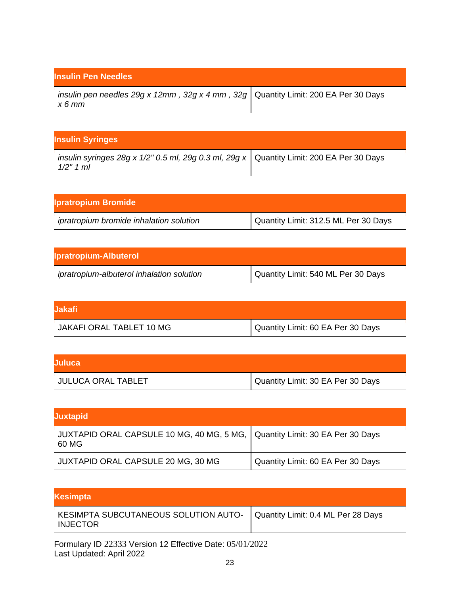| <b>Insulin Pen Needles</b>                                                                       |  |
|--------------------------------------------------------------------------------------------------|--|
| insulin pen needles 29g x 12mm, 32g x 4 mm, 32g   Quantity Limit: 200 EA Per 30 Days<br>$x 6$ mm |  |

| <b>Insulin Syringes</b>                                                                                 |  |
|---------------------------------------------------------------------------------------------------------|--|
| insulin syringes 28g x 1/2" 0.5 ml, 29g 0.3 ml, 29g x   Quantity Limit: 200 EA Per 30 Days<br>1/2" 1 ml |  |

| <b>Ipratropium Bromide</b>              |                                      |
|-----------------------------------------|--------------------------------------|
| ipratropium bromide inhalation solution | Quantity Limit: 312.5 ML Per 30 Days |

| <b>Ipratropium-Albuterol</b>              |                                    |
|-------------------------------------------|------------------------------------|
| ipratropium-albuterol inhalation solution | Quantity Limit: 540 ML Per 30 Days |

| lJakafi                  |                                     |
|--------------------------|-------------------------------------|
| JAKAFI ORAL TABLET 10 MG | I Quantity Limit: 60 EA Per 30 Days |

| <b>Juluca</b>             |                                   |
|---------------------------|-----------------------------------|
| <b>JULUCA ORAL TABLET</b> | Quantity Limit: 30 EA Per 30 Days |

| <b>Juxtapid</b>                                                                        |                                   |
|----------------------------------------------------------------------------------------|-----------------------------------|
| JUXTAPID ORAL CAPSULE 10 MG, 40 MG, 5 MG,   Quantity Limit: 30 EA Per 30 Days<br>60 MG |                                   |
| JUXTAPID ORAL CAPSULE 20 MG, 30 MG                                                     | Quantity Limit: 60 EA Per 30 Days |

| Kesimpta                                                                                     |  |
|----------------------------------------------------------------------------------------------|--|
| KESIMPTA SUBCUTANEOUS SOLUTION AUTO-   Quantity Limit: 0.4 ML Per 28 Days<br><b>INJECTOR</b> |  |
| Formulary ID 22333 Version 12 Effective Date: 05/01/2022                                     |  |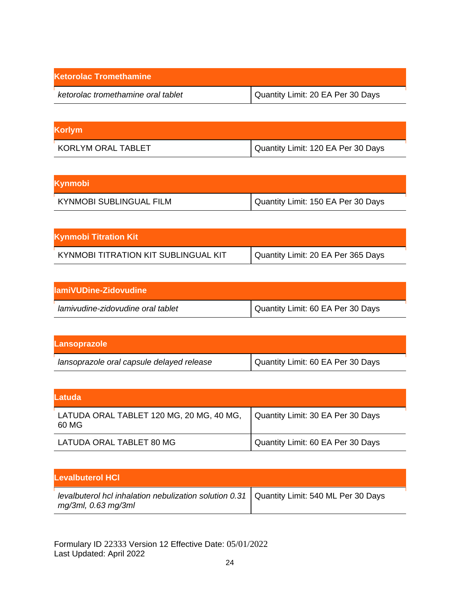| <b>Ketorolac Tromethamine</b>      |                                   |
|------------------------------------|-----------------------------------|
| ketorolac tromethamine oral tablet | Quantity Limit: 20 EA Per 30 Days |

| <b>Korlym</b>      |                                    |
|--------------------|------------------------------------|
| KORLYM ORAL TABLET | Quantity Limit: 120 EA Per 30 Days |

| Kynmobi                        |                                    |
|--------------------------------|------------------------------------|
| <b>KYNMOBI SUBLINGUAL FILM</b> | Quantity Limit: 150 EA Per 30 Days |

| <b>Kynmobi Titration Kit</b>         |                                    |
|--------------------------------------|------------------------------------|
| KYNMOBI TITRATION KIT SUBLINGUAL KIT | Quantity Limit: 20 EA Per 365 Days |

| lamiVUDine-Zidovudine             |                                   |
|-----------------------------------|-----------------------------------|
| lamivudine-zidovudine oral tablet | Quantity Limit: 60 EA Per 30 Days |

| Lansoprazole                              |                                   |
|-------------------------------------------|-----------------------------------|
| lansoprazole oral capsule delayed release | Quantity Limit: 60 EA Per 30 Days |

| ILatuda                                           |                                   |
|---------------------------------------------------|-----------------------------------|
| LATUDA ORAL TABLET 120 MG, 20 MG, 40 MG,<br>60 MG | Quantity Limit: 30 EA Per 30 Days |
| LATUDA ORAL TABLET 80 MG                          | Quantity Limit: 60 EA Per 30 Days |

| <b>Levalbuterol HCI</b>                                                                                            |  |
|--------------------------------------------------------------------------------------------------------------------|--|
| levalbuterol hcl inhalation nebulization solution 0.31   Quantity Limit: 540 ML Per 30 Days<br>mg/3ml, 0.63 mg/3ml |  |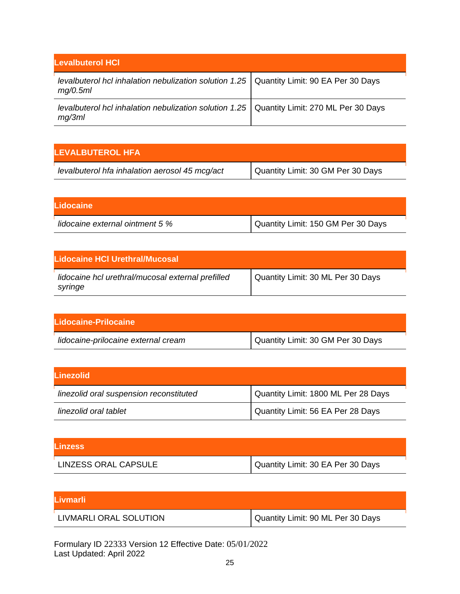| <b>Levalbuterol HCI</b>                                                                                |  |
|--------------------------------------------------------------------------------------------------------|--|
| levalbuterol hcl inhalation nebulization solution 1.25   Quantity Limit: 90 EA Per 30 Days<br>mg/0.5ml |  |
| levalbuterol hcl inhalation nebulization solution 1.25   Quantity Limit: 270 ML Per 30 Days<br>mq/3ml  |  |

| ILEVALBUTEROL HFA                              |                                   |
|------------------------------------------------|-----------------------------------|
| levalbuterol hfa inhalation aerosol 45 mcg/act | Quantity Limit: 30 GM Per 30 Days |

| Lidocaine                       |                                      |
|---------------------------------|--------------------------------------|
| lidocaine external ointment 5 % | I Quantity Limit: 150 GM Per 30 Days |

| Lidocaine HCI Urethral/Mucosal                               |                                   |
|--------------------------------------------------------------|-----------------------------------|
| lidocaine hcl urethral/mucosal external prefilled<br>syringe | Quantity Limit: 30 ML Per 30 Days |

| Lidocaine-Prilocaine                |                                   |
|-------------------------------------|-----------------------------------|
| lidocaine-prilocaine external cream | Quantity Limit: 30 GM Per 30 Days |

| <b>ILinezolid</b>                       |                                     |
|-----------------------------------------|-------------------------------------|
| linezolid oral suspension reconstituted | Quantity Limit: 1800 ML Per 28 Days |
| linezolid oral tablet                   | Quantity Limit: 56 EA Per 28 Days   |

| <b>Linzess</b>       |                                   |
|----------------------|-----------------------------------|
| LINZESS ORAL CAPSULE | Quantity Limit: 30 EA Per 30 Days |

| lLivmarli l            |                                   |
|------------------------|-----------------------------------|
| LIVMARLI ORAL SOLUTION | Quantity Limit: 90 ML Per 30 Days |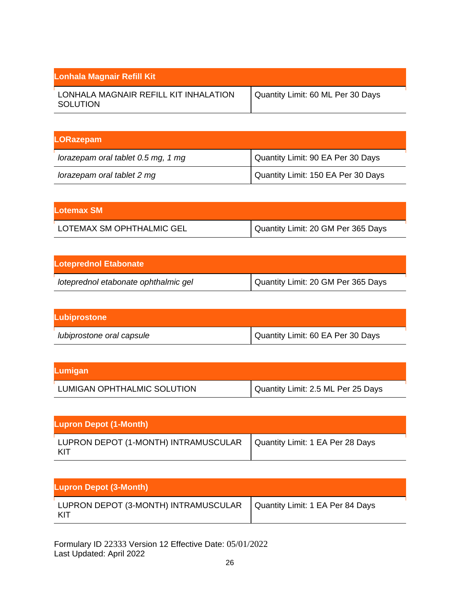| Lonhala Magnair Refill Kit                        |                                   |
|---------------------------------------------------|-----------------------------------|
| LONHALA MAGNAIR REFILL KIT INHALATION<br>SOLUTION | Quantity Limit: 60 ML Per 30 Days |

| <b>LORazepam</b>                   |                                    |
|------------------------------------|------------------------------------|
| lorazepam oral tablet 0.5 mg, 1 mg | Quantity Limit: 90 EA Per 30 Days  |
| lorazepam oral tablet 2 mg         | Quantity Limit: 150 EA Per 30 Days |

| Lotemax SM                |                                    |
|---------------------------|------------------------------------|
| LOTEMAX SM OPHTHALMIC GEL | Quantity Limit: 20 GM Per 365 Days |

| <b>Loteprednol Etabonate</b>         |                                    |
|--------------------------------------|------------------------------------|
| loteprednol etabonate ophthalmic gel | Quantity Limit: 20 GM Per 365 Days |

| Lubiprostone              |                                   |
|---------------------------|-----------------------------------|
| lubiprostone oral capsule | Quantity Limit: 60 EA Per 30 Days |

| Lumigan                     |                                    |
|-----------------------------|------------------------------------|
| LUMIGAN OPHTHALMIC SOLUTION | Quantity Limit: 2.5 ML Per 25 Days |

| <b>Lupron Depot (1-Month)</b>                                                  |  |
|--------------------------------------------------------------------------------|--|
| LUPRON DEPOT (1-MONTH) INTRAMUSCULAR   Quantity Limit: 1 EA Per 28 Days<br>KIT |  |

| <b>Lupron Depot (3-Month)</b>                                                  |  |
|--------------------------------------------------------------------------------|--|
| LUPRON DEPOT (3-MONTH) INTRAMUSCULAR   Quantity Limit: 1 EA Per 84 Days<br>KIT |  |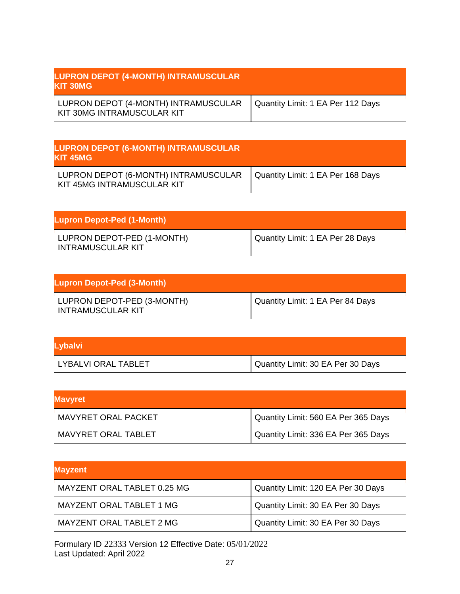| <b>LUPRON DEPOT (4-MONTH) INTRAMUSCULAR</b><br><b>IKIT 30MG</b>    |                                   |
|--------------------------------------------------------------------|-----------------------------------|
| LUPRON DEPOT (4-MONTH) INTRAMUSCULAR<br>KIT 30MG INTRAMUSCULAR KIT | Quantity Limit: 1 EA Per 112 Days |

| <b>LUPRON DEPOT (6-MONTH) INTRAMUSCULAR</b><br><b>IKIT 45MG</b>    |                                   |
|--------------------------------------------------------------------|-----------------------------------|
| LUPRON DEPOT (6-MONTH) INTRAMUSCULAR<br>KIT 45MG INTRAMUSCULAR KIT | Quantity Limit: 1 EA Per 168 Days |

| <b>Lupron Depot-Ped (1-Month)</b>                      |                                  |
|--------------------------------------------------------|----------------------------------|
| LUPRON DEPOT-PED (1-MONTH)<br><b>INTRAMUSCULAR KIT</b> | Quantity Limit: 1 EA Per 28 Days |

| Lupron Depot-Ped (3-Month)                             |                                  |
|--------------------------------------------------------|----------------------------------|
| LUPRON DEPOT-PED (3-MONTH)<br><b>INTRAMUSCULAR KIT</b> | Quantity Limit: 1 EA Per 84 Days |

| Lybalvi             |                                   |
|---------------------|-----------------------------------|
| LYBALVI ORAL TABLET | Quantity Limit: 30 EA Per 30 Days |

| <b>Mavyret</b>      |                                     |
|---------------------|-------------------------------------|
| MAVYRET ORAL PACKET | Quantity Limit: 560 EA Per 365 Days |
| MAVYRET ORAL TABLET | Quantity Limit: 336 EA Per 365 Days |

| <b>Mayzent</b>                  |                                    |
|---------------------------------|------------------------------------|
| MAYZENT ORAL TABLET 0.25 MG     | Quantity Limit: 120 EA Per 30 Days |
| <b>MAYZENT ORAL TABLET 1 MG</b> | Quantity Limit: 30 EA Per 30 Days  |
| MAYZENT ORAL TABLET 2 MG        | Quantity Limit: 30 EA Per 30 Days  |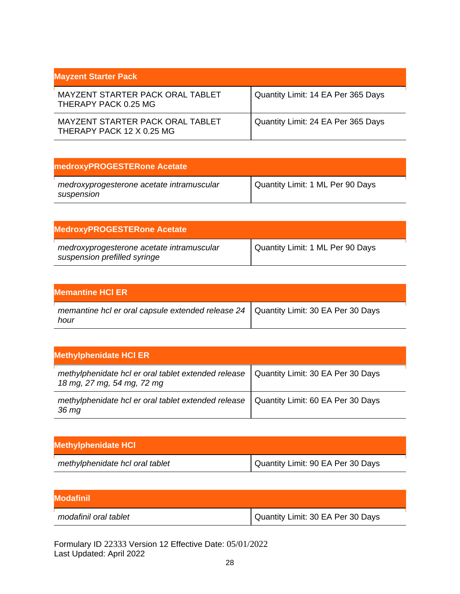| <b>Mayzent Starter Pack</b>                                   |                                    |
|---------------------------------------------------------------|------------------------------------|
| MAYZENT STARTER PACK ORAL TABLET<br>THERAPY PACK 0.25 MG      | Quantity Limit: 14 EA Per 365 Days |
| MAYZENT STARTER PACK ORAL TABLET<br>THERAPY PACK 12 X 0.25 MG | Quantity Limit: 24 EA Per 365 Days |

| medroxyPROGESTERone Acetate                             |                                  |
|---------------------------------------------------------|----------------------------------|
| medroxyprogesterone acetate intramuscular<br>suspension | Quantity Limit: 1 ML Per 90 Days |

| <b>MedroxyPROGESTERone Acetate</b>                                        |                                  |
|---------------------------------------------------------------------------|----------------------------------|
| medroxyprogesterone acetate intramuscular<br>suspension prefilled syringe | Quantity Limit: 1 ML Per 90 Days |

| <b>Memantine HCI ER</b>                                                                         |  |
|-------------------------------------------------------------------------------------------------|--|
| memantine hcl er oral capsule extended release $24$   Quantity Limit: 30 EA Per 30 Days<br>hour |  |

| <b>Methylphenidate HCI ER</b>                                                     |                                   |
|-----------------------------------------------------------------------------------|-----------------------------------|
| methylphenidate hcl er oral tablet extended release<br>18 mg, 27 mg, 54 mg, 72 mg | Quantity Limit: 30 EA Per 30 Days |
| methylphenidate hcl er oral tablet extended release<br>36 mg                      | Quantity Limit: 60 EA Per 30 Days |

| <b>Methylphenidate HCI</b>      |                                   |
|---------------------------------|-----------------------------------|
| methylphenidate hcl oral tablet | Quantity Limit: 90 EA Per 30 Days |

| <b>IModafinil</b>     |                                   |
|-----------------------|-----------------------------------|
| modafinil oral tablet | Quantity Limit: 30 EA Per 30 Days |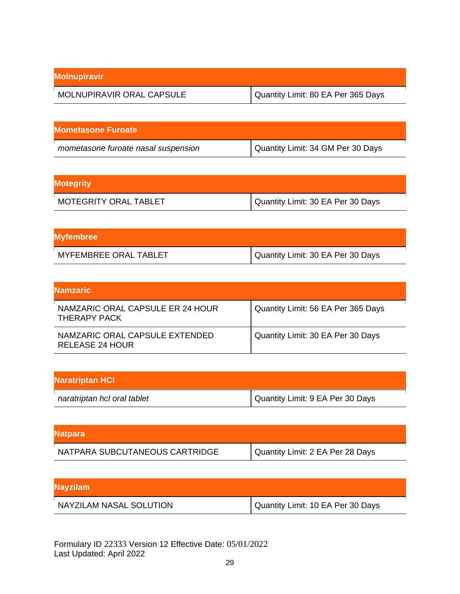| <b>Molnupiravir</b>       |                                    |
|---------------------------|------------------------------------|
| MOLNUPIRAVIR ORAL CAPSULE | Quantity Limit: 80 EA Per 365 Days |

| <b>Mometasone Furoate</b>           |                                   |
|-------------------------------------|-----------------------------------|
| mometasone furoate nasal suspension | Quantity Limit: 34 GM Per 30 Days |

| <b>Motegrity</b>             |                                   |
|------------------------------|-----------------------------------|
| <b>MOTEGRITY ORAL TABLET</b> | Quantity Limit: 30 EA Per 30 Days |

| <b>Myfembree</b>             |                                   |
|------------------------------|-----------------------------------|
| <b>MYFEMBREE ORAL TABLET</b> | Quantity Limit: 30 EA Per 30 Days |

| lNamzaric                                         |                                    |
|---------------------------------------------------|------------------------------------|
| NAMZARIC ORAL CAPSULE ER 24 HOUR<br>THERAPY PACK  | Quantity Limit: 56 EA Per 365 Days |
| NAMZARIC ORAL CAPSULE EXTENDED<br>RELEASE 24 HOUR | Quantity Limit: 30 EA Per 30 Days  |

| <b>Naratriptan HCI</b>      |                                  |
|-----------------------------|----------------------------------|
| naratriptan hcl oral tablet | Quantity Limit: 9 EA Per 30 Days |

| <b>Natpara</b>                 |                                  |
|--------------------------------|----------------------------------|
| NATPARA SUBCUTANEOUS CARTRIDGE | Quantity Limit: 2 EA Per 28 Days |

| <b>Nayzilam</b>         |                                   |
|-------------------------|-----------------------------------|
| NAYZILAM NASAL SOLUTION | Quantity Limit: 10 EA Per 30 Days |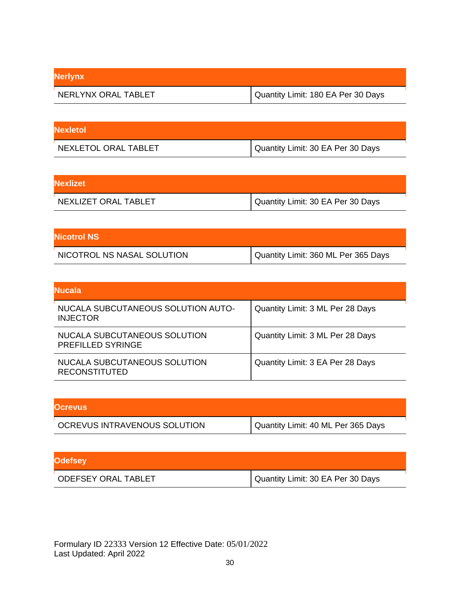| <b>Nerlynx</b>      |                                    |
|---------------------|------------------------------------|
| NERLYNX ORAL TABLET | Quantity Limit: 180 EA Per 30 Days |

| <b>Nexletol</b>      |                                     |
|----------------------|-------------------------------------|
| NEXLETOL ORAL TABLET | I Quantity Limit: 30 EA Per 30 Days |

| <b>Nexlizet</b>      |                                   |
|----------------------|-----------------------------------|
| NEXLIZET ORAL TABLET | Quantity Limit: 30 EA Per 30 Days |

| <b>Nicotrol NS</b>         |                                       |
|----------------------------|---------------------------------------|
| NICOTROL NS NASAL SOLUTION | I Quantity Limit: 360 ML Per 365 Days |

| <b>Nucala</b>                                            |                                  |
|----------------------------------------------------------|----------------------------------|
| NUCALA SUBCUTANEOUS SOLUTION AUTO-<br><b>INJECTOR</b>    | Quantity Limit: 3 ML Per 28 Days |
| NUCALA SUBCUTANEOUS SOLUTION<br><b>PREFILLED SYRINGE</b> | Quantity Limit: 3 ML Per 28 Days |
| NUCALA SUBCUTANEOUS SOLUTION<br><b>RECONSTITUTED</b>     | Quantity Limit: 3 EA Per 28 Days |

| <b>Ocrevus</b>               |                                    |
|------------------------------|------------------------------------|
| OCREVUS INTRAVENOUS SOLUTION | Quantity Limit: 40 ML Per 365 Days |

| <b>Odefsey</b>             |                                   |
|----------------------------|-----------------------------------|
| <b>ODEFSEY ORAL TABLET</b> | Quantity Limit: 30 EA Per 30 Days |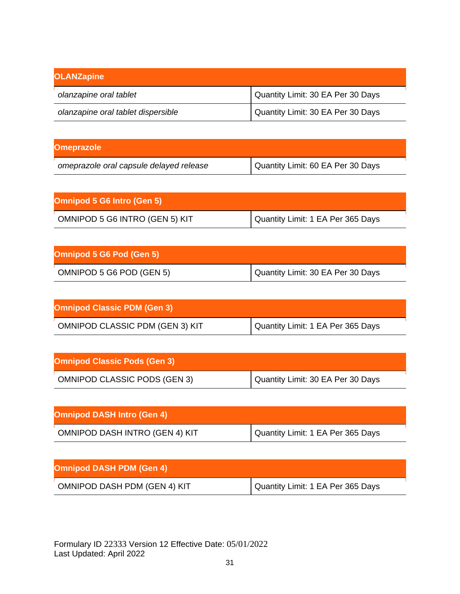| <b>OLANZapine</b>                  |                                   |
|------------------------------------|-----------------------------------|
| olanzapine oral tablet             | Quantity Limit: 30 EA Per 30 Days |
| olanzapine oral tablet dispersible | Quantity Limit: 30 EA Per 30 Days |

| <b>Omeprazole</b>                       |                                   |
|-----------------------------------------|-----------------------------------|
| omeprazole oral capsule delayed release | Quantity Limit: 60 EA Per 30 Days |

| <b>Omnipod 5 G6 Intro (Gen 5)</b> |                                   |
|-----------------------------------|-----------------------------------|
| OMNIPOD 5 G6 INTRO (GEN 5) KIT    | Quantity Limit: 1 EA Per 365 Days |

| Omnipod 5 G6 Pod (Gen 5) |                                   |
|--------------------------|-----------------------------------|
| OMNIPOD 5 G6 POD (GEN 5) | Quantity Limit: 30 EA Per 30 Days |

| <b>Omnipod Classic PDM (Gen 3)</b>     |                                   |
|----------------------------------------|-----------------------------------|
| <b>OMNIPOD CLASSIC PDM (GEN 3) KIT</b> | Quantity Limit: 1 EA Per 365 Days |

| <b>Omnipod Classic Pods (Gen 3)</b> |                                   |
|-------------------------------------|-----------------------------------|
| <b>OMNIPOD CLASSIC PODS (GEN 3)</b> | Quantity Limit: 30 EA Per 30 Days |

| <b>Omnipod DASH Intro (Gen 4)</b> |                                   |
|-----------------------------------|-----------------------------------|
| OMNIPOD DASH INTRO (GEN 4) KIT    | Quantity Limit: 1 EA Per 365 Days |

| <b>Omnipod DASH PDM (Gen 4)</b>     |                                   |
|-------------------------------------|-----------------------------------|
| <b>OMNIPOD DASH PDM (GEN 4) KIT</b> | Quantity Limit: 1 EA Per 365 Days |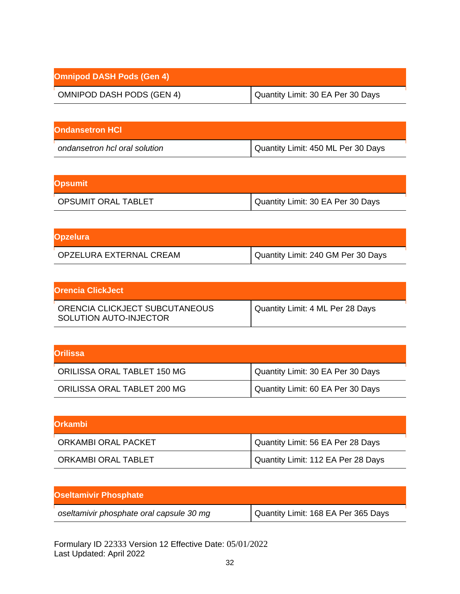| <b>Omnipod DASH Pods (Gen 4)</b> |                                   |
|----------------------------------|-----------------------------------|
| <b>OMNIPOD DASH PODS (GEN 4)</b> | Quantity Limit: 30 EA Per 30 Days |

| <b>Ondansetron HCI</b>        |                                    |
|-------------------------------|------------------------------------|
| ondansetron hcl oral solution | Quantity Limit: 450 ML Per 30 Days |

| <b>Opsumit</b>             |                                   |
|----------------------------|-----------------------------------|
| <b>OPSUMIT ORAL TABLET</b> | Quantity Limit: 30 EA Per 30 Days |

| <b>Opzelura</b>         |                                    |
|-------------------------|------------------------------------|
| OPZELURA EXTERNAL CREAM | Quantity Limit: 240 GM Per 30 Days |

| <b>Orencia ClickJect</b>                                 |                                  |
|----------------------------------------------------------|----------------------------------|
| ORENCIA CLICKJECT SUBCUTANEOUS<br>SOLUTION AUTO-INJECTOR | Quantity Limit: 4 ML Per 28 Days |

| <b>IOrilissa</b>            |                                   |
|-----------------------------|-----------------------------------|
| ORILISSA ORAL TABLET 150 MG | Quantity Limit: 30 EA Per 30 Days |
| ORILISSA ORAL TABLET 200 MG | Quantity Limit: 60 EA Per 30 Days |

| lOrkambi            |                                    |
|---------------------|------------------------------------|
| ORKAMBI ORAL PACKET | Quantity Limit: 56 EA Per 28 Days  |
| ORKAMBI ORAL TABLET | Quantity Limit: 112 EA Per 28 Days |

| <b>Oseltamivir Phosphate</b>             |                                     |
|------------------------------------------|-------------------------------------|
| oseltamivir phosphate oral capsule 30 mg | Quantity Limit: 168 EA Per 365 Days |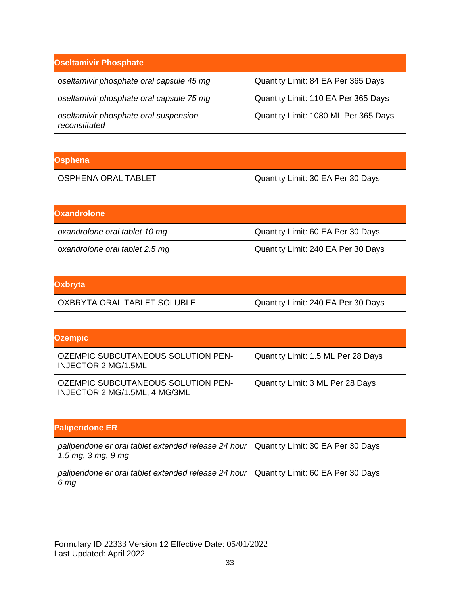| <b>Oseltamivir Phosphate</b>                           |                                      |
|--------------------------------------------------------|--------------------------------------|
| oseltamivir phosphate oral capsule 45 mg               | Quantity Limit: 84 EA Per 365 Days   |
| oseltamivir phosphate oral capsule 75 mg               | Quantity Limit: 110 EA Per 365 Days  |
| oseltamivir phosphate oral suspension<br>reconstituted | Quantity Limit: 1080 ML Per 365 Days |

| Osphena                    |                                   |
|----------------------------|-----------------------------------|
| <b>OSPHENA ORAL TABLET</b> | Quantity Limit: 30 EA Per 30 Days |

| <b>Oxandrolone</b>             |                                    |
|--------------------------------|------------------------------------|
| oxandrolone oral tablet 10 mg  | Quantity Limit: 60 EA Per 30 Days  |
| oxandrolone oral tablet 2.5 mg | Quantity Limit: 240 EA Per 30 Days |

| <b>Oxbryta</b>              |                                    |
|-----------------------------|------------------------------------|
| OXBRYTA ORAL TABLET SOLUBLE | Quantity Limit: 240 EA Per 30 Days |

| <b>Ozempic</b>                                                      |                                    |
|---------------------------------------------------------------------|------------------------------------|
| <b>OZEMPIC SUBCUTANEOUS SOLUTION PEN-</b><br>INJECTOR 2 MG/1.5ML    | Quantity Limit: 1.5 ML Per 28 Days |
| OZEMPIC SUBCUTANEOUS SOLUTION PEN-<br>INJECTOR 2 MG/1.5ML, 4 MG/3ML | Quantity Limit: 3 ML Per 28 Days   |

| <b>Paliperidone ER</b>                                                                                         |  |
|----------------------------------------------------------------------------------------------------------------|--|
| paliperidone er oral tablet extended release 24 hour   Quantity Limit: 30 EA Per 30 Days<br>1.5 mg, 3 mg, 9 mg |  |
| paliperidone er oral tablet extended release 24 hour   Quantity Limit: 60 EA Per 30 Days<br>6 mg               |  |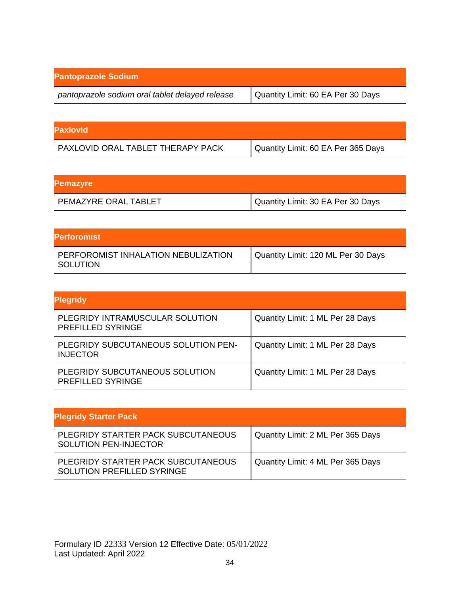| <b>Pantoprazole Sodium</b>                      |                                   |
|-------------------------------------------------|-----------------------------------|
| pantoprazole sodium oral tablet delayed release | Quantity Limit: 60 EA Per 30 Days |

| <b>Paxlovid</b>                   |                                    |
|-----------------------------------|------------------------------------|
| PAXLOVID ORAL TABLET THERAPY PACK | Quantity Limit: 60 EA Per 365 Days |

| <b>Pemazyre</b>      |                                   |
|----------------------|-----------------------------------|
| PEMAZYRE ORAL TABLET | Quantity Limit: 30 EA Per 30 Days |

| <b>Perforomist</b>                              |                                    |
|-------------------------------------------------|------------------------------------|
| PERFOROMIST INHALATION NEBULIZATION<br>SOLUTION | Quantity Limit: 120 ML Per 30 Days |

| <b>Plegridy</b>                                             |                                  |
|-------------------------------------------------------------|----------------------------------|
| PLEGRIDY INTRAMUSCULAR SOLUTION<br><b>PREFILLED SYRINGE</b> | Quantity Limit: 1 ML Per 28 Days |
| PLEGRIDY SUBCUTANEOUS SOLUTION PEN-<br><b>INJECTOR</b>      | Quantity Limit: 1 ML Per 28 Days |
| PLEGRIDY SUBCUTANEOUS SOLUTION<br><b>PREFILLED SYRINGE</b>  | Quantity Limit: 1 ML Per 28 Days |

| <b>Plegridy Starter Pack</b>                                            |                                   |
|-------------------------------------------------------------------------|-----------------------------------|
| PLEGRIDY STARTER PACK SUBCUTANEOUS<br><b>SOLUTION PEN-INJECTOR</b>      | Quantity Limit: 2 ML Per 365 Days |
| PLEGRIDY STARTER PACK SUBCUTANEOUS<br><b>SOLUTION PREFILLED SYRINGE</b> | Quantity Limit: 4 ML Per 365 Days |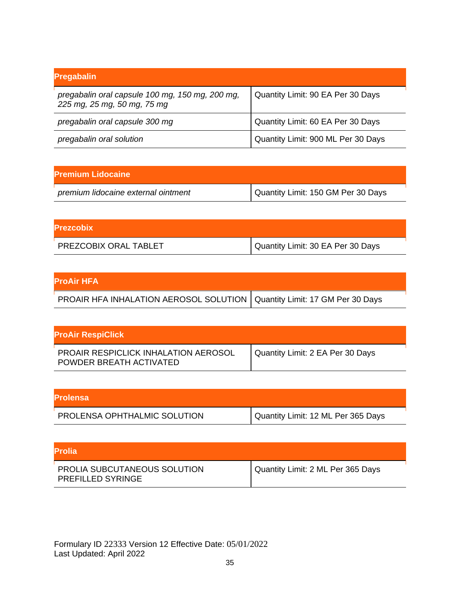| <b>Pregabalin</b>                                                              |                                    |
|--------------------------------------------------------------------------------|------------------------------------|
| pregabalin oral capsule 100 mg, 150 mg, 200 mg,<br>225 mg, 25 mg, 50 mg, 75 mg | Quantity Limit: 90 EA Per 30 Days  |
| pregabalin oral capsule 300 mg                                                 | Quantity Limit: 60 EA Per 30 Days  |
| pregabalin oral solution                                                       | Quantity Limit: 900 ML Per 30 Days |

| <b>Premium Lidocaine</b>            |                                    |
|-------------------------------------|------------------------------------|
| premium lidocaine external ointment | Quantity Limit: 150 GM Per 30 Days |

| <b>Prezcobix</b>      |                                                |
|-----------------------|------------------------------------------------|
| PREZCOBIX ORAL TABLET | <sup>1</sup> Quantity Limit: 30 EA Per 30 Days |

| <b>ProAir HFA</b>                                                          |  |
|----------------------------------------------------------------------------|--|
| PROAIR HFA INHALATION AEROSOL SOLUTION   Quantity Limit: 17 GM Per 30 Days |  |

| <b>ProAir RespiClick</b>                                        |                                  |
|-----------------------------------------------------------------|----------------------------------|
| PROAIR RESPICLICK INHALATION AEROSOL<br>POWDER BREATH ACTIVATED | Quantity Limit: 2 EA Per 30 Days |

| <b>IProlensa</b>             |                                    |
|------------------------------|------------------------------------|
| PROLENSA OPHTHALMIC SOLUTION | Quantity Limit: 12 ML Per 365 Days |

| IProlia.                                                        |                                   |
|-----------------------------------------------------------------|-----------------------------------|
| <b>PROLIA SUBCUTANEOUS SOLUTION</b><br><b>PREFILLED SYRINGE</b> | Quantity Limit: 2 ML Per 365 Days |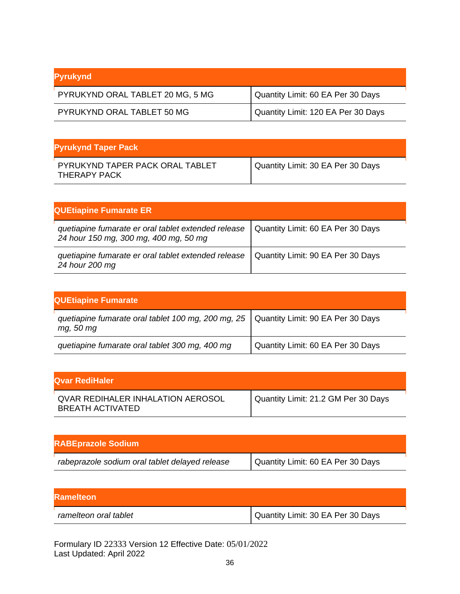| Pyrukynd                         |                                      |
|----------------------------------|--------------------------------------|
| PYRUKYND ORAL TABLET 20 MG, 5 MG | Quantity Limit: 60 EA Per 30 Days    |
| PYRUKYND ORAL TABLET 50 MG       | I Quantity Limit: 120 EA Per 30 Days |

| <b>Pyrukynd Taper Pack</b>                      |                                   |
|-------------------------------------------------|-----------------------------------|
| PYRUKYND TAPER PACK ORAL TABLET<br>THERAPY PACK | Quantity Limit: 30 EA Per 30 Days |

| <b>QUEtiapine Fumarate ER</b>                                                                |                                   |
|----------------------------------------------------------------------------------------------|-----------------------------------|
| quetiapine fumarate er oral tablet extended release<br>24 hour 150 mg, 300 mg, 400 mg, 50 mg | Quantity Limit: 60 EA Per 30 Days |
| quetiapine fumarate er oral tablet extended release<br>24 hour 200 mg                        | Quantity Limit: 90 EA Per 30 Days |

| <b>QUEtiapine Fumarate</b>                                        |                                   |
|-------------------------------------------------------------------|-----------------------------------|
| quetiapine fumarate oral tablet 100 mg, 200 mg, 25  <br>mg, 50 mg | Quantity Limit: 90 EA Per 30 Days |
| quetiapine fumarate oral tablet 300 mg, 400 mg                    | Quantity Limit: 60 EA Per 30 Days |

| lQvar RediHaler                                                     |                                     |
|---------------------------------------------------------------------|-------------------------------------|
| <b>QVAR REDIHALER INHALATION AEROSOL</b><br><b>BREATH ACTIVATED</b> | Quantity Limit: 21.2 GM Per 30 Days |

| <b>RABEprazole Sodium</b>                      |                                   |
|------------------------------------------------|-----------------------------------|
| rabeprazole sodium oral tablet delayed release | Quantity Limit: 60 EA Per 30 Days |

| <b>IRamelteon</b>     |                                   |
|-----------------------|-----------------------------------|
| ramelteon oral tablet | Quantity Limit: 30 EA Per 30 Days |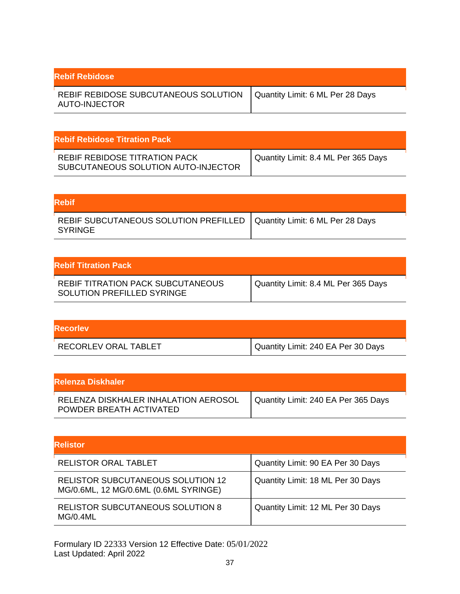| <b>Rebif Rebidose</b>                                                                    |  |
|------------------------------------------------------------------------------------------|--|
| REBIF REBIDOSE SUBCUTANEOUS SOLUTION   Quantity Limit: 6 ML Per 28 Days<br>AUTO-INJECTOR |  |

| <b>Rebif Rebidose Titration Pack</b>                                 |                                     |
|----------------------------------------------------------------------|-------------------------------------|
| REBIF REBIDOSE TITRATION PACK<br>SUBCUTANEOUS SOLUTION AUTO-INJECTOR | Quantity Limit: 8.4 ML Per 365 Days |

| Rebif                                                                               |  |
|-------------------------------------------------------------------------------------|--|
| REBIF SUBCUTANEOUS SOLUTION PREFILLED   Quantity Limit: 6 ML Per 28 Days<br>SYRINGE |  |

| <b>Rebif Titration Pack</b>                                     |                                     |
|-----------------------------------------------------------------|-------------------------------------|
| REBIF TITRATION PACK SUBCUTANEOUS<br>SOLUTION PREFILLED SYRINGE | Quantity Limit: 8.4 ML Per 365 Days |

| <b>Recorley</b>      |                                    |
|----------------------|------------------------------------|
| RECORLEV ORAL TABLET | Quantity Limit: 240 EA Per 30 Days |

| lRelenza Diskhaler i                                            |                                     |
|-----------------------------------------------------------------|-------------------------------------|
| RELENZA DISKHALER INHALATION AEROSOL<br>POWDER BREATH ACTIVATED | Quantity Limit: 240 EA Per 365 Days |

| <b>Relistor</b>                                                            |                                   |
|----------------------------------------------------------------------------|-----------------------------------|
| <b>RELISTOR ORAL TABLET</b>                                                | Quantity Limit: 90 EA Per 30 Days |
| RELISTOR SUBCUTANEOUS SOLUTION 12<br>MG/0.6ML, 12 MG/0.6ML (0.6ML SYRINGE) | Quantity Limit: 18 ML Per 30 Days |
| <b>RELISTOR SUBCUTANEOUS SOLUTION 8</b><br><b>MG/0.4ML</b>                 | Quantity Limit: 12 ML Per 30 Days |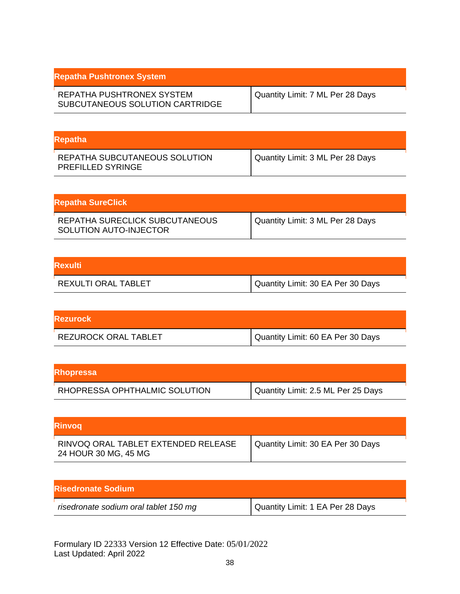| <b>Repatha Pushtronex System</b>                             |                                  |
|--------------------------------------------------------------|----------------------------------|
| REPATHA PUSHTRONEX SYSTEM<br>SUBCUTANEOUS SOLUTION CARTRIDGE | Quantity Limit: 7 ML Per 28 Days |

| <b>Repatha</b>                                            |                                  |
|-----------------------------------------------------------|----------------------------------|
| REPATHA SUBCUTANEOUS SOLUTION<br><b>PREFILLED SYRINGE</b> | Quantity Limit: 3 ML Per 28 Days |

| Repatha SureClick                                        |                                  |
|----------------------------------------------------------|----------------------------------|
| REPATHA SURECLICK SUBCUTANEOUS<br>SOLUTION AUTO-INJECTOR | Quantity Limit: 3 ML Per 28 Days |

| <b>Rexulti</b>      |                                   |
|---------------------|-----------------------------------|
| REXULTI ORAL TABLET | Quantity Limit: 30 EA Per 30 Days |

| <b>Rezurock</b>      |                                   |
|----------------------|-----------------------------------|
| REZUROCK ORAL TABLET | Quantity Limit: 60 EA Per 30 Days |

| <b>Rhopressa</b>              |                                    |
|-------------------------------|------------------------------------|
| RHOPRESSA OPHTHALMIC SOLUTION | Quantity Limit: 2.5 ML Per 25 Days |

| <b>Rinvog</b>                                               |                                   |
|-------------------------------------------------------------|-----------------------------------|
| RINVOQ ORAL TABLET EXTENDED RELEASE<br>24 HOUR 30 MG, 45 MG | Quantity Limit: 30 EA Per 30 Days |

| <b>Risedronate Sodium</b>             |                                  |
|---------------------------------------|----------------------------------|
| risedronate sodium oral tablet 150 mg | Quantity Limit: 1 EA Per 28 Days |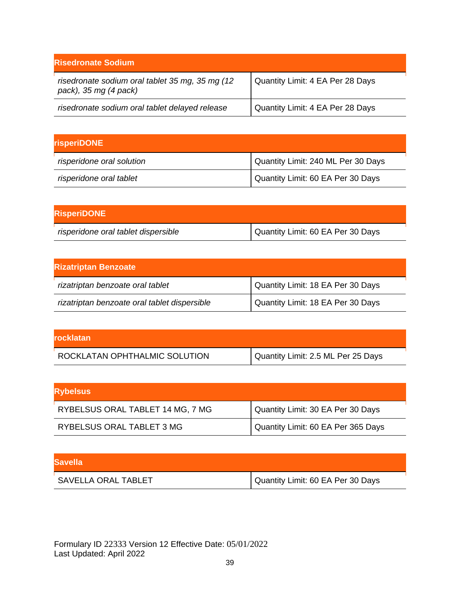| <b>Risedronate Sodium</b>                                                   |                                  |
|-----------------------------------------------------------------------------|----------------------------------|
| risedronate sodium oral tablet 35 mg, 35 mg (12)<br>pack), 35 mg $(4$ pack) | Quantity Limit: 4 EA Per 28 Days |
| risedronate sodium oral tablet delayed release                              | Quantity Limit: 4 EA Per 28 Days |

| <b>risperiDONE</b>        |                                    |
|---------------------------|------------------------------------|
| risperidone oral solution | Quantity Limit: 240 ML Per 30 Days |
| risperidone oral tablet   | Quantity Limit: 60 EA Per 30 Days  |

| <b>RisperiDONE</b>                  |                                   |
|-------------------------------------|-----------------------------------|
| risperidone oral tablet dispersible | Quantity Limit: 60 EA Per 30 Days |

| <b>Rizatriptan Benzoate</b>                  |                                   |
|----------------------------------------------|-----------------------------------|
| rizatriptan benzoate oral tablet             | Quantity Limit: 18 EA Per 30 Days |
| rizatriptan benzoate oral tablet dispersible | Quantity Limit: 18 EA Per 30 Days |

| <b>rocklatan</b>              |                                    |
|-------------------------------|------------------------------------|
| ROCKLATAN OPHTHALMIC SOLUTION | Quantity Limit: 2.5 ML Per 25 Days |

| <b>Rybelsus</b>                  |                                    |
|----------------------------------|------------------------------------|
| RYBELSUS ORAL TABLET 14 MG, 7 MG | Quantity Limit: 30 EA Per 30 Days  |
| RYBELSUS ORAL TABLET 3 MG        | Quantity Limit: 60 EA Per 365 Days |

| <b>Savella</b>      |                                   |
|---------------------|-----------------------------------|
| SAVELLA ORAL TABLET | Quantity Limit: 60 EA Per 30 Days |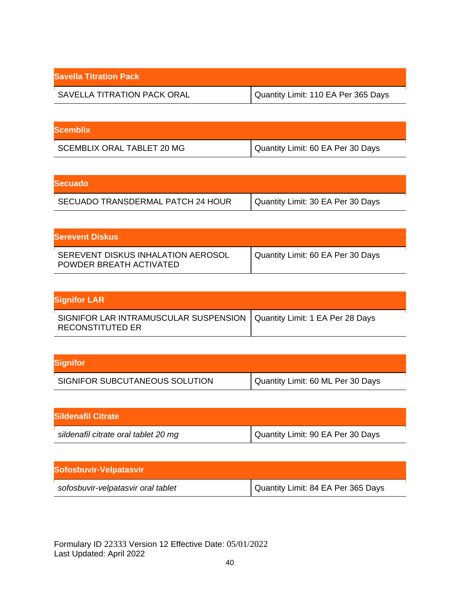| <b>Savella Titration Pack</b> |                                     |
|-------------------------------|-------------------------------------|
| SAVELLA TITRATION PACK ORAL   | Quantity Limit: 110 EA Per 365 Days |

| <b>Scemblix</b>            |                                   |
|----------------------------|-----------------------------------|
| SCEMBLIX ORAL TABLET 20 MG | Quantity Limit: 60 EA Per 30 Days |

| <b>Secuado</b>                    |                                   |
|-----------------------------------|-----------------------------------|
| SECUADO TRANSDERMAL PATCH 24 HOUR | Quantity Limit: 30 EA Per 30 Days |

| <b>Serevent Diskus</b>                                        |                                   |
|---------------------------------------------------------------|-----------------------------------|
| SEREVENT DISKUS INHALATION AEROSOL<br>POWDER BREATH ACTIVATED | Quantity Limit: 60 EA Per 30 Days |

| <b>Signifor LAR</b>                                                                                 |  |
|-----------------------------------------------------------------------------------------------------|--|
| SIGNIFOR LAR INTRAMUSCULAR SUSPENSION   Quantity Limit: 1 EA Per 28 Days<br><b>RECONSTITUTED ER</b> |  |

| <b>Signifor</b>                |                                   |
|--------------------------------|-----------------------------------|
| SIGNIFOR SUBCUTANEOUS SOLUTION | Quantity Limit: 60 ML Per 30 Days |

| <b>Sildenafil Citrate</b>            |                                   |
|--------------------------------------|-----------------------------------|
| sildenafil citrate oral tablet 20 mg | Quantity Limit: 90 EA Per 30 Days |

| Sofosbuvir-Velpatasvir             |                                    |
|------------------------------------|------------------------------------|
| sofosbuvir-velpatasvir oral tablet | Quantity Limit: 84 EA Per 365 Days |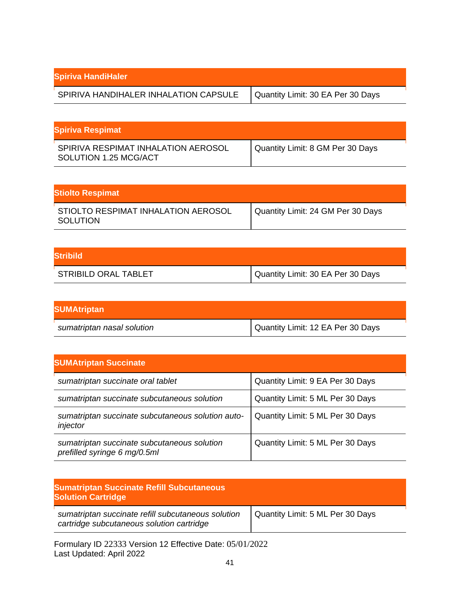| <b>Spiriva HandiHaler</b>             |                                   |
|---------------------------------------|-----------------------------------|
| SPIRIVA HANDIHALER INHALATION CAPSULE | Quantity Limit: 30 EA Per 30 Days |

| <b>Spiriva Respimat</b>                                      |                                  |
|--------------------------------------------------------------|----------------------------------|
| SPIRIVA RESPIMAT INHALATION AEROSOL<br>SOLUTION 1.25 MCG/ACT | Quantity Limit: 8 GM Per 30 Days |

| <b>Stiolto Respimat</b>                                |                                   |
|--------------------------------------------------------|-----------------------------------|
| STIOLTO RESPIMAT INHALATION AEROSOL<br><b>SOLUTION</b> | Quantity Limit: 24 GM Per 30 Days |

| <b>Stribild</b>      |                                     |
|----------------------|-------------------------------------|
| STRIBILD ORAL TABLET | I Quantity Limit: 30 EA Per 30 Days |

| <b>SUMAtriptan</b>         |                                   |
|----------------------------|-----------------------------------|
| sumatriptan nasal solution | Quantity Limit: 12 EA Per 30 Days |

| <b>SUMAtriptan Succinate</b>                                                |                                  |
|-----------------------------------------------------------------------------|----------------------------------|
| sumatriptan succinate oral tablet                                           | Quantity Limit: 9 EA Per 30 Days |
| sumatriptan succinate subcutaneous solution                                 | Quantity Limit: 5 ML Per 30 Days |
| sumatriptan succinate subcutaneous solution auto-<br>injector               | Quantity Limit: 5 ML Per 30 Days |
| sumatriptan succinate subcutaneous solution<br>prefilled syringe 6 mg/0.5ml | Quantity Limit: 5 ML Per 30 Days |

| <b>Sumatriptan Succinate Refill Subcutaneous</b><br><b>Solution Cartridge</b>                   |                                  |
|-------------------------------------------------------------------------------------------------|----------------------------------|
| sumatriptan succinate refill subcutaneous solution<br>cartridge subcutaneous solution cartridge | Quantity Limit: 5 ML Per 30 Days |
| Formulary ID 22333 Version 12 Effective Date: 05/01/2022                                        |                                  |

Last Updated: April 2022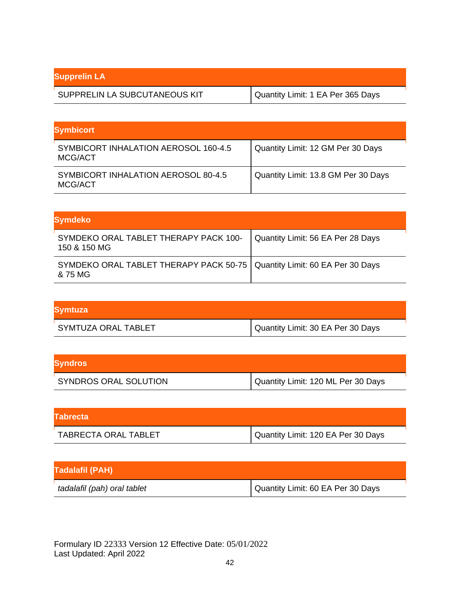| <b>Supprelin LA</b>           |                                   |
|-------------------------------|-----------------------------------|
| SUPPRELIN LA SUBCUTANEOUS KIT | Quantity Limit: 1 EA Per 365 Days |

| <b>Symbicort</b>                                |                                     |
|-------------------------------------------------|-------------------------------------|
| SYMBICORT INHALATION AEROSOL 160-4.5<br>MCG/ACT | Quantity Limit: 12 GM Per 30 Days   |
| SYMBICORT INHALATION AEROSOL 80-4.5<br>MCG/ACT  | Quantity Limit: 13.8 GM Per 30 Days |

| <b>Symdeko</b>                                                                        |                                   |
|---------------------------------------------------------------------------------------|-----------------------------------|
| SYMDEKO ORAL TABLET THERAPY PACK 100-<br>150 & 150 MG                                 | Quantity Limit: 56 EA Per 28 Days |
| SYMDEKO ORAL TABLET THERAPY PACK 50-75   Quantity Limit: 60 EA Per 30 Days<br>& 75 MG |                                   |

| <b>Symtuza</b>      |                                   |
|---------------------|-----------------------------------|
| SYMTUZA ORAL TABLET | Quantity Limit: 30 EA Per 30 Days |

| <b>Syndros</b>        |                                    |
|-----------------------|------------------------------------|
| SYNDROS ORAL SOLUTION | Quantity Limit: 120 ML Per 30 Days |

| <b>Tabrecta</b>      |                                    |
|----------------------|------------------------------------|
| TABRECTA ORAL TABLET | Quantity Limit: 120 EA Per 30 Days |

| <b>Tadalafil (PAH)</b>      |                                   |
|-----------------------------|-----------------------------------|
| tadalafil (pah) oral tablet | Quantity Limit: 60 EA Per 30 Days |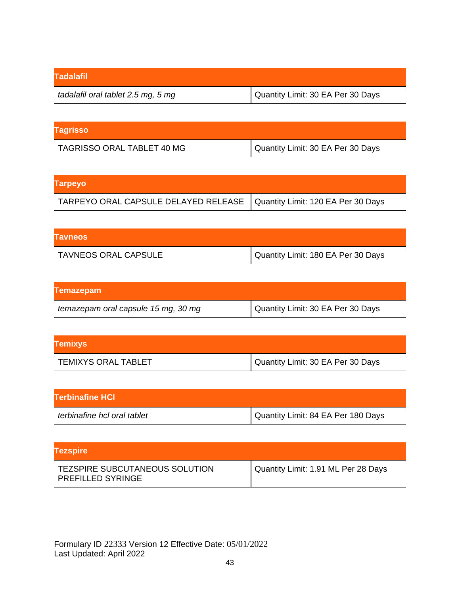| <b>Tadalafil</b>                   |                                   |
|------------------------------------|-----------------------------------|
| tadalafil oral tablet 2.5 mg, 5 mg | Quantity Limit: 30 EA Per 30 Days |

| <b>Tagrisso</b>            |                                   |
|----------------------------|-----------------------------------|
| TAGRISSO ORAL TABLET 40 MG | Quantity Limit: 30 EA Per 30 Days |

| <b>Tarpeyo</b>                                                            |  |
|---------------------------------------------------------------------------|--|
| TARPEYO ORAL CAPSULE DELAYED RELEASE   Quantity Limit: 120 EA Per 30 Days |  |

| <b>Tavneos</b>              |                                    |
|-----------------------------|------------------------------------|
| <b>TAVNEOS ORAL CAPSULE</b> | Quantity Limit: 180 EA Per 30 Days |

| <b>Temazepam</b>                    |                                   |
|-------------------------------------|-----------------------------------|
| temazepam oral capsule 15 mg, 30 mg | Quantity Limit: 30 EA Per 30 Days |

| <b>Temixys</b>             |                                   |
|----------------------------|-----------------------------------|
| <b>TEMIXYS ORAL TABLET</b> | Quantity Limit: 30 EA Per 30 Days |

| <b>Terbinafine HCI</b>      |                                    |
|-----------------------------|------------------------------------|
| terbinafine hcl oral tablet | Quantity Limit: 84 EA Per 180 Days |

| <b>Tezspire</b>                                                   |                                     |
|-------------------------------------------------------------------|-------------------------------------|
| <b>TEZSPIRE SUBCUTANEOUS SOLUTION</b><br><b>PREFILLED SYRINGE</b> | Quantity Limit: 1.91 ML Per 28 Days |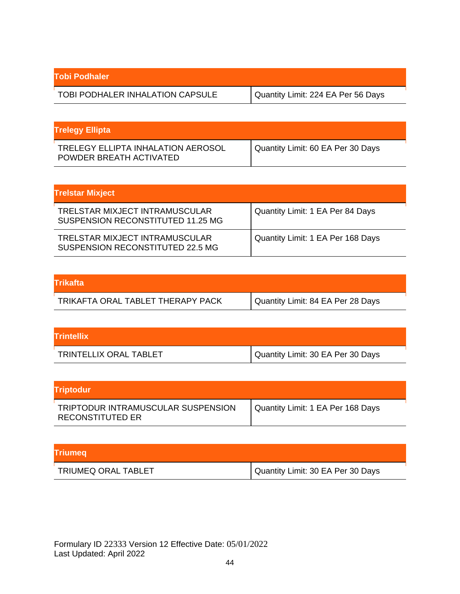| Tobi Podhaler                    |                                    |
|----------------------------------|------------------------------------|
| TOBI PODHALER INHALATION CAPSULE | Quantity Limit: 224 EA Per 56 Days |

| <b>Trelegy Ellipta</b>                                        |                                   |
|---------------------------------------------------------------|-----------------------------------|
| TRELEGY ELLIPTA INHALATION AEROSOL<br>POWDER BREATH ACTIVATED | Quantity Limit: 60 EA Per 30 Days |

| <b>Trelstar Mixject</b>                                             |                                   |
|---------------------------------------------------------------------|-----------------------------------|
| TRELSTAR MIXJECT INTRAMUSCULAR<br>SUSPENSION RECONSTITUTED 11.25 MG | Quantity Limit: 1 EA Per 84 Days  |
| TRELSTAR MIXJECT INTRAMUSCULAR<br>SUSPENSION RECONSTITUTED 22.5 MG  | Quantity Limit: 1 EA Per 168 Days |

| <b>Trikafta</b>                   |                                   |
|-----------------------------------|-----------------------------------|
| TRIKAFTA ORAL TABLET THERAPY PACK | Quantity Limit: 84 EA Per 28 Days |

| <b>Trintellix</b>      |                                   |
|------------------------|-----------------------------------|
| TRINTELLIX ORAL TABLET | Quantity Limit: 30 EA Per 30 Days |

| Triptodur                                              |                                   |
|--------------------------------------------------------|-----------------------------------|
| TRIPTODUR INTRAMUSCULAR SUSPENSION<br>RECONSTITUTED ER | Quantity Limit: 1 EA Per 168 Days |

| <b>Triumeg</b>             |                                     |
|----------------------------|-------------------------------------|
| <b>TRIUMEQ ORAL TABLET</b> | I Quantity Limit: 30 EA Per 30 Days |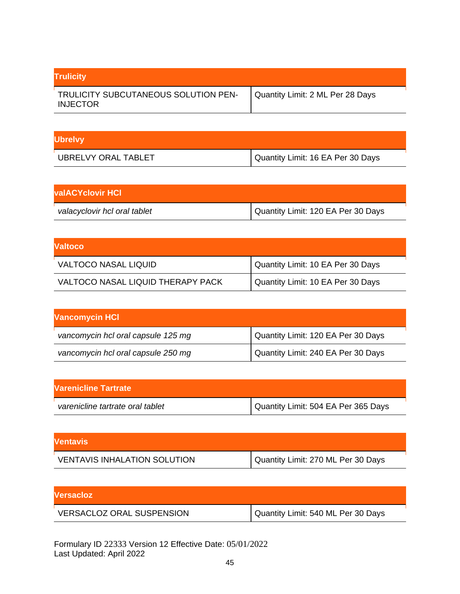| <b>Trulicity</b>                                        |                                  |
|---------------------------------------------------------|----------------------------------|
| TRULICITY SUBCUTANEOUS SOLUTION PEN-<br><b>INJECTOR</b> | Quantity Limit: 2 ML Per 28 Days |

| <b>Ubrelvy</b>      |                                   |
|---------------------|-----------------------------------|
| UBRELVY ORAL TABLET | Quantity Limit: 16 EA Per 30 Days |

| <b>valACYclovir HCI</b>      |                                    |
|------------------------------|------------------------------------|
| valacyclovir hcl oral tablet | Quantity Limit: 120 EA Per 30 Days |

| Valtoco                           |                                   |
|-----------------------------------|-----------------------------------|
| <b>VALTOCO NASAL LIQUID</b>       | Quantity Limit: 10 EA Per 30 Days |
| VALTOCO NASAL LIQUID THERAPY PACK | Quantity Limit: 10 EA Per 30 Days |

| <b>Vancomycin HCI</b>              |                                    |
|------------------------------------|------------------------------------|
| vancomycin hcl oral capsule 125 mg | Quantity Limit: 120 EA Per 30 Days |
| vancomycin hcl oral capsule 250 mg | Quantity Limit: 240 EA Per 30 Days |

| <b>Varenicline Tartrate</b>      |                                     |
|----------------------------------|-------------------------------------|
| varenicline tartrate oral tablet | Quantity Limit: 504 EA Per 365 Days |

| <b>Ventavis</b>                     |                                    |
|-------------------------------------|------------------------------------|
| <b>VENTAVIS INHALATION SOLUTION</b> | Quantity Limit: 270 ML Per 30 Days |

| <b>IVersacioz</b>                |                                    |
|----------------------------------|------------------------------------|
| <b>VERSACLOZ ORAL SUSPENSION</b> | Quantity Limit: 540 ML Per 30 Days |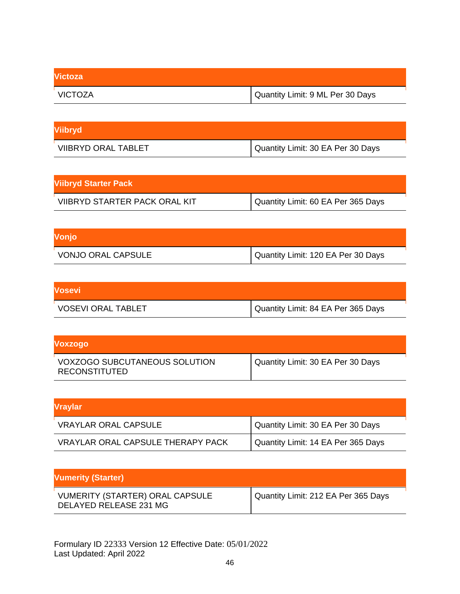| <b>Victoza</b> |                                  |
|----------------|----------------------------------|
| VICTOZA        | Quantity Limit: 9 ML Per 30 Days |

| Viibryd                    |                                   |
|----------------------------|-----------------------------------|
| <b>VIIBRYD ORAL TABLET</b> | Quantity Limit: 30 EA Per 30 Days |

| <b>Viibryd Starter Pack</b>   |                                    |
|-------------------------------|------------------------------------|
| VIIBRYD STARTER PACK ORAL KIT | Quantity Limit: 60 EA Per 365 Days |

| Vonjo                     |                                    |
|---------------------------|------------------------------------|
| <b>VONJO ORAL CAPSULE</b> | Quantity Limit: 120 EA Per 30 Days |

| <b>Vosevi</b>             |                                    |
|---------------------------|------------------------------------|
| <b>VOSEVI ORAL TABLET</b> | Quantity Limit: 84 EA Per 365 Days |

| <b>Voxzogo</b>                                        |                                   |
|-------------------------------------------------------|-----------------------------------|
| <b>VOXZOGO SUBCUTANEOUS SOLUTION</b><br>RECONSTITUTED | Quantity Limit: 30 EA Per 30 Days |

| <b>Vraylar</b>                           |                                    |
|------------------------------------------|------------------------------------|
| <b>VRAYLAR ORAL CAPSULE</b>              | Quantity Limit: 30 EA Per 30 Days  |
| <b>VRAYLAR ORAL CAPSULE THERAPY PACK</b> | Quantity Limit: 14 EA Per 365 Days |

| <b>Vumerity (Starter)</b>                                        |                                     |
|------------------------------------------------------------------|-------------------------------------|
| <b>VUMERITY (STARTER) ORAL CAPSULE</b><br>DELAYED RELEASE 231 MG | Quantity Limit: 212 EA Per 365 Days |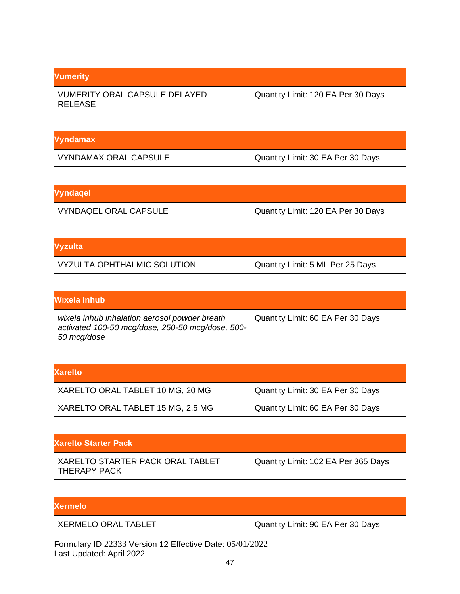| <b>Vumerity</b>                                 |                                    |
|-------------------------------------------------|------------------------------------|
| <b>VUMERITY ORAL CAPSULE DELAYED</b><br>RELEASE | Quantity Limit: 120 EA Per 30 Days |

| Vyndamax                     |                                   |
|------------------------------|-----------------------------------|
| <b>VYNDAMAX ORAL CAPSULE</b> | Quantity Limit: 30 EA Per 30 Days |

| Vyndagel                     |                                    |
|------------------------------|------------------------------------|
| <b>VYNDAQEL ORAL CAPSULE</b> | Quantity Limit: 120 EA Per 30 Days |

| <b>Vyzulta</b>              |                                  |
|-----------------------------|----------------------------------|
| VYZULTA OPHTHALMIC SOLUTION | Quantity Limit: 5 ML Per 25 Days |

| Wixela Inhub                                                                                                     |                                   |
|------------------------------------------------------------------------------------------------------------------|-----------------------------------|
| wixela inhub inhalation aerosol powder breath<br>activated 100-50 mcg/dose, 250-50 mcg/dose, 500-<br>50 mcg/dose | Quantity Limit: 60 EA Per 30 Days |

| <b>Xarelto</b>                    |                                   |
|-----------------------------------|-----------------------------------|
| XARELTO ORAL TABLET 10 MG, 20 MG  | Quantity Limit: 30 EA Per 30 Days |
| XARELTO ORAL TABLET 15 MG, 2.5 MG | Quantity Limit: 60 EA Per 30 Days |

| <b>Xarelto Starter Pack</b>                      |                                     |
|--------------------------------------------------|-------------------------------------|
| XARELTO STARTER PACK ORAL TABLET<br>THERAPY PACK | Quantity Limit: 102 EA Per 365 Days |

| <b>Xermelo</b>             |                                   |
|----------------------------|-----------------------------------|
| <b>XERMELO ORAL TABLET</b> | Quantity Limit: 90 EA Per 30 Days |
|                            |                                   |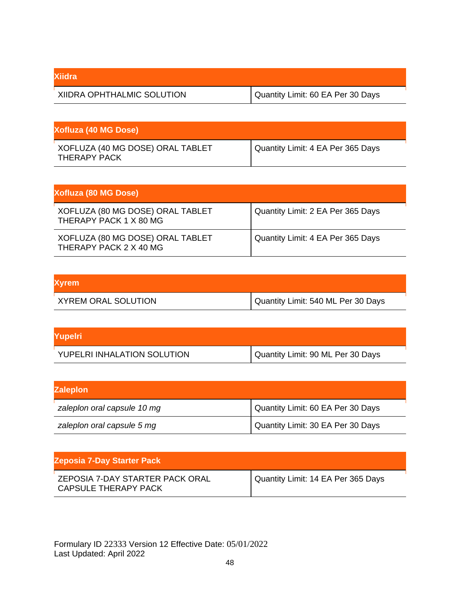| <b>Xiidra</b>              |                                   |
|----------------------------|-----------------------------------|
| XIIDRA OPHTHALMIC SOLUTION | Quantity Limit: 60 EA Per 30 Days |

| <b>Xofluza (40 MG Dose)</b>                      |                                   |
|--------------------------------------------------|-----------------------------------|
| XOFLUZA (40 MG DOSE) ORAL TABLET<br>THERAPY PACK | Quantity Limit: 4 EA Per 365 Days |

| Xofluza (80 MG Dose)                                       |                                   |
|------------------------------------------------------------|-----------------------------------|
| XOFLUZA (80 MG DOSE) ORAL TABLET<br>THERAPY PACK 1 X 80 MG | Quantity Limit: 2 EA Per 365 Days |
| XOFLUZA (80 MG DOSE) ORAL TABLET<br>THERAPY PACK 2 X 40 MG | Quantity Limit: 4 EA Per 365 Days |

| <b>Xyrem</b>               |                                    |
|----------------------------|------------------------------------|
| <b>XYREM ORAL SOLUTION</b> | Quantity Limit: 540 ML Per 30 Days |

| Yupelri                     |                                   |
|-----------------------------|-----------------------------------|
| YUPELRI INHALATION SOLUTION | Quantity Limit: 90 ML Per 30 Days |

| <b>Zaleplon</b>             |                                   |
|-----------------------------|-----------------------------------|
| zaleplon oral capsule 10 mg | Quantity Limit: 60 EA Per 30 Days |
| zaleplon oral capsule 5 mg  | Quantity Limit: 30 EA Per 30 Days |

| <b>Zeposia 7-Day Starter Pack</b>                       |                                    |
|---------------------------------------------------------|------------------------------------|
| ZEPOSIA 7-DAY STARTER PACK ORAL<br>CAPSULE THERAPY PACK | Quantity Limit: 14 EA Per 365 Days |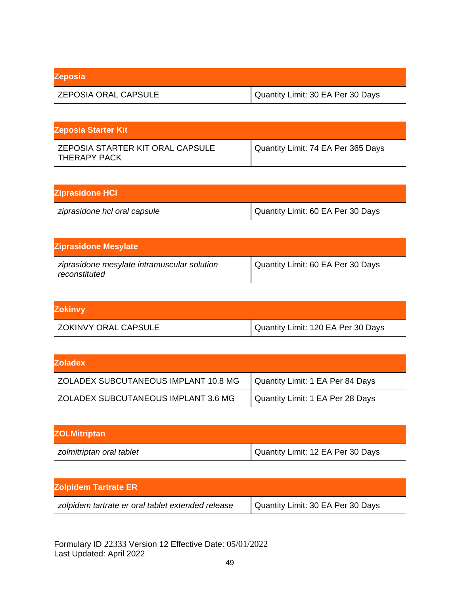| <b>Zeposia</b>              |                                   |
|-----------------------------|-----------------------------------|
| <b>ZEPOSIA ORAL CAPSULE</b> | Quantity Limit: 30 EA Per 30 Days |

| <b>Zeposia Starter Kit</b>                       |                                    |
|--------------------------------------------------|------------------------------------|
| ZEPOSIA STARTER KIT ORAL CAPSULE<br>THERAPY PACK | Quantity Limit: 74 EA Per 365 Days |

| <b>Ziprasidone HCI</b>       |                                   |
|------------------------------|-----------------------------------|
| ziprasidone hcl oral capsule | Quantity Limit: 60 EA Per 30 Days |

| <b>Ziprasidone Mesylate</b>                                  |                                   |
|--------------------------------------------------------------|-----------------------------------|
| ziprasidone mesylate intramuscular solution<br>reconstituted | Quantity Limit: 60 EA Per 30 Days |

| <b>Zokinvy</b>       |                                    |
|----------------------|------------------------------------|
| ZOKINVY ORAL CAPSULE | Quantity Limit: 120 EA Per 30 Days |

| <b>IZoladex</b>                      |                                  |
|--------------------------------------|----------------------------------|
| ZOLADEX SUBCUTANEOUS IMPLANT 10.8 MG | Quantity Limit: 1 EA Per 84 Days |
| ZOLADEX SUBCUTANEOUS IMPLANT 3.6 MG  | Quantity Limit: 1 EA Per 28 Days |

| <b>ZOLMitriptan</b>      |                                   |
|--------------------------|-----------------------------------|
| zolmitriptan oral tablet | Quantity Limit: 12 EA Per 30 Days |

| <b>Zolpidem Tartrate ER</b>                       |                                   |
|---------------------------------------------------|-----------------------------------|
| zolpidem tartrate er oral tablet extended release | Quantity Limit: 30 EA Per 30 Days |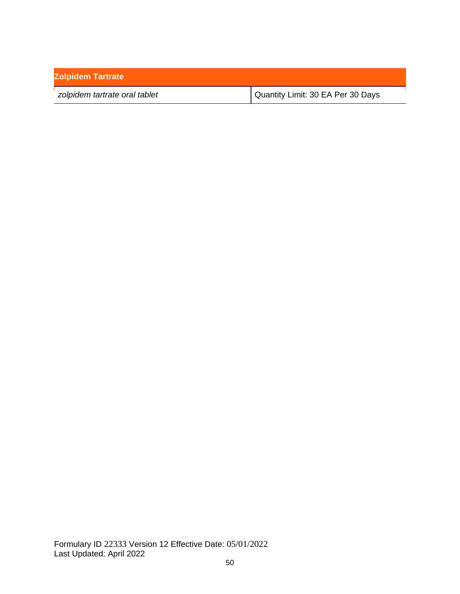| <b>Zolpidem Tartrate</b>      |                                   |
|-------------------------------|-----------------------------------|
| zolpidem tartrate oral tablet | Quantity Limit: 30 EA Per 30 Days |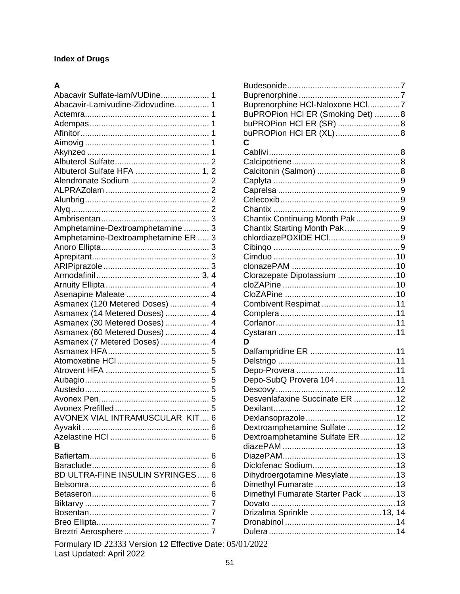## **Index of Drugs**

## $\mathbf{A}$

| Abacavir Sulfate-lamiVUDine 1       |
|-------------------------------------|
| Abacavir-Lamivudine-Zidovudine 1    |
|                                     |
|                                     |
|                                     |
|                                     |
|                                     |
|                                     |
|                                     |
|                                     |
|                                     |
| Albuterol Sulfate HFA  1, 2         |
|                                     |
|                                     |
|                                     |
|                                     |
|                                     |
|                                     |
| Amphetamine-Dextroamphetamine  3    |
|                                     |
| Amphetamine-Dextroamphetamine ER  3 |
|                                     |
|                                     |
|                                     |
|                                     |
|                                     |
|                                     |
|                                     |
|                                     |
| Asmanex (120 Metered Doses)  4      |
| Asmanex (14 Metered Doses)  4       |
| Asmanex (30 Metered Doses)  4       |
|                                     |
| Asmanex (60 Metered Doses)  4       |
| Asmanex (7 Metered Doses)  4        |
|                                     |
|                                     |
|                                     |
|                                     |
|                                     |
|                                     |
|                                     |
|                                     |
|                                     |
| AVONEX VIAL INTRAMUSCULAR KIT 6     |
|                                     |
|                                     |
|                                     |
| R                                   |
|                                     |
|                                     |
|                                     |
| BD ULTRA-FINE INSULIN SYRINGES  6   |
|                                     |
|                                     |
|                                     |
|                                     |
|                                     |
|                                     |
|                                     |
|                                     |
|                                     |

| Buprenorphine HCI-Naloxone HCI7    |  |
|------------------------------------|--|
| BuPROPion HCI ER (Smoking Det) 8   |  |
| buPROPion HCI ER (SR) 8            |  |
| buPROPion HCI ER (XL) 8            |  |
| C                                  |  |
|                                    |  |
|                                    |  |
|                                    |  |
|                                    |  |
|                                    |  |
|                                    |  |
|                                    |  |
| Chantix Continuing Month Pak 9     |  |
| Chantix Starting Month Pak9        |  |
| chlordiazePOXIDE HCl9              |  |
|                                    |  |
|                                    |  |
|                                    |  |
| Clorazepate Dipotassium  10        |  |
|                                    |  |
|                                    |  |
| Combivent Respimat  11             |  |
|                                    |  |
|                                    |  |
|                                    |  |
| D                                  |  |
|                                    |  |
|                                    |  |
|                                    |  |
| Depo-SubQ Provera 104 11           |  |
|                                    |  |
| Desvenlafaxine Succinate ER  12    |  |
|                                    |  |
|                                    |  |
| Dextroamphetamine Sulfate  12      |  |
| Dextroamphetamine Sulfate ER  12   |  |
|                                    |  |
|                                    |  |
|                                    |  |
| Dihydroergotamine Mesylate 13      |  |
|                                    |  |
| Dimethyl Fumarate Starter Pack  13 |  |
|                                    |  |
| Drizalma Sprinkle  13, 14          |  |
|                                    |  |
|                                    |  |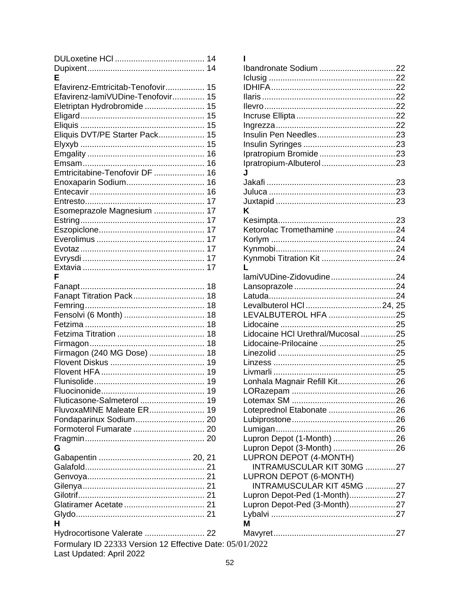| F                                             |
|-----------------------------------------------|
| Efavirenz-Emtricitab-Tenofovir 15             |
| Efavirenz-lamiVUDine-Tenofovir 15             |
| Eletriptan Hydrobromide  15                   |
|                                               |
|                                               |
| Eliquis DVT/PE Starter Pack 15                |
|                                               |
|                                               |
|                                               |
|                                               |
| Emtricitabine-Tenofovir DF  16                |
|                                               |
|                                               |
|                                               |
| Esomeprazole Magnesium  17                    |
|                                               |
|                                               |
|                                               |
|                                               |
|                                               |
|                                               |
|                                               |
| F                                             |
|                                               |
| Fanapt Titration Pack 18                      |
|                                               |
|                                               |
|                                               |
|                                               |
|                                               |
|                                               |
| Firmagon (240 MG Dose)  18                    |
|                                               |
|                                               |
|                                               |
|                                               |
| Fluticasone-Salmeterol  19                    |
| FluvoxaMINE Maleate ER 19                     |
|                                               |
|                                               |
| Formoterol Fumarate  20                       |
|                                               |
| G                                             |
|                                               |
|                                               |
|                                               |
|                                               |
|                                               |
|                                               |
|                                               |
| н                                             |
|                                               |
| Hydrocortisone Valerate  22                   |
| Formulary ID 22333 Version 12 Effective Date: |
| Last Undated: April 2022                      |

| ı                                 |  |
|-----------------------------------|--|
|                                   |  |
|                                   |  |
|                                   |  |
|                                   |  |
|                                   |  |
|                                   |  |
|                                   |  |
|                                   |  |
|                                   |  |
|                                   |  |
|                                   |  |
| J                                 |  |
|                                   |  |
|                                   |  |
|                                   |  |
| κ                                 |  |
|                                   |  |
| Ketorolac Tromethamine 24         |  |
|                                   |  |
|                                   |  |
|                                   |  |
| L                                 |  |
| lamiVUDine-Zidovudine24           |  |
|                                   |  |
|                                   |  |
| LEVALBUTEROL HFA 25               |  |
|                                   |  |
| Lidocaine HCI Urethral/Mucosal 25 |  |
|                                   |  |
|                                   |  |
|                                   |  |
|                                   |  |
| Lonhala Magnair Refill Kit26      |  |
|                                   |  |
|                                   |  |
| Loteprednol Etabonate 26          |  |
|                                   |  |
|                                   |  |
| Lupron Depot (1-Month) 26         |  |
| Lupron Depot (3-Month) 26         |  |
| LUPRON DEPOT (4-MONTH)            |  |
| INTRAMUSCULAR KIT 30MG 27         |  |
| LUPRON DEPOT (6-MONTH)            |  |
| INTRAMUSCULAR KIT 45MG 27         |  |
| Lupron Depot-Ped (1-Month)27      |  |
| Lupron Depot-Ped (3-Month)27      |  |
|                                   |  |
| М                                 |  |
|                                   |  |
| 05/01/2022                        |  |
|                                   |  |

Last Updated: April 2022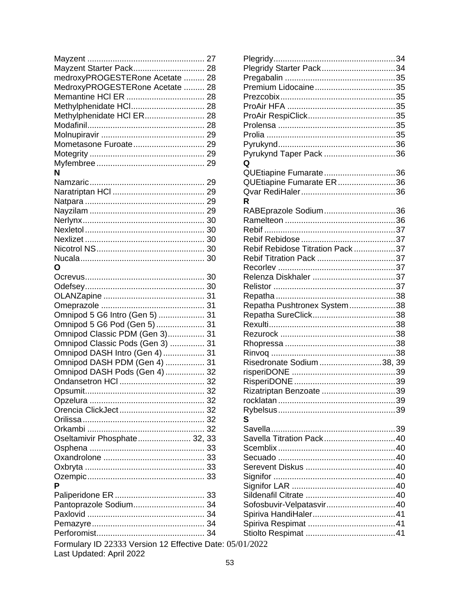| Mayzent Starter Pack 28                      |  |
|----------------------------------------------|--|
| medroxyPROGESTERone Acetate  28              |  |
| MedroxyPROGESTERone Acetate  28              |  |
|                                              |  |
| Methylphenidate HCl 28                       |  |
| Methylphenidate HCI ER 28                    |  |
|                                              |  |
|                                              |  |
| Mometasone Furoate 29                        |  |
|                                              |  |
|                                              |  |
|                                              |  |
| Ν                                            |  |
|                                              |  |
|                                              |  |
|                                              |  |
|                                              |  |
|                                              |  |
|                                              |  |
|                                              |  |
|                                              |  |
|                                              |  |
| O                                            |  |
|                                              |  |
|                                              |  |
|                                              |  |
|                                              |  |
| Omnipod 5 G6 Intro (Gen 5)  31               |  |
|                                              |  |
| Omnipod 5 G6 Pod (Gen 5)  31                 |  |
| Omnipod Classic PDM (Gen 3) 31               |  |
| Omnipod Classic Pods (Gen 3)  31             |  |
| Omnipod DASH Intro (Gen 4)  31               |  |
| Omnipod DASH PDM (Gen 4)  31                 |  |
| Omnipod DASH Pods (Gen 4)  32                |  |
|                                              |  |
|                                              |  |
|                                              |  |
|                                              |  |
|                                              |  |
|                                              |  |
| Oseltamivir Phosphate 32, 33                 |  |
|                                              |  |
|                                              |  |
|                                              |  |
|                                              |  |
| Р                                            |  |
|                                              |  |
|                                              |  |
| Pantoprazole Sodium 34                       |  |
|                                              |  |
|                                              |  |
|                                              |  |
| Formulary ID 22333 Version 12 Effective Date |  |
| Last Updated: April 2022                     |  |

| Plegridy Starter Pack34          |  |
|----------------------------------|--|
|                                  |  |
|                                  |  |
|                                  |  |
|                                  |  |
|                                  |  |
|                                  |  |
|                                  |  |
|                                  |  |
| Pyrukynd Taper Pack 36           |  |
| Q                                |  |
| QUEtiapine Fumarate36            |  |
| QUEtiapine Fumarate ER36         |  |
|                                  |  |
| R                                |  |
| RABEprazole Sodium36             |  |
|                                  |  |
|                                  |  |
|                                  |  |
| Rebif Rebidose Titration Pack 37 |  |
|                                  |  |
|                                  |  |
|                                  |  |
|                                  |  |
|                                  |  |
| Repatha Pushtronex System38      |  |
|                                  |  |
|                                  |  |
|                                  |  |
|                                  |  |
|                                  |  |
| Risedronate Sodium 38, 39        |  |
|                                  |  |
|                                  |  |
| Rizatriptan Benzoate 39          |  |
|                                  |  |
|                                  |  |
| S                                |  |
|                                  |  |
| Savella Titration Pack40         |  |
|                                  |  |
|                                  |  |
|                                  |  |
|                                  |  |
|                                  |  |
|                                  |  |
|                                  |  |
| Sofosbuvir-Velpatasvir40         |  |
|                                  |  |
|                                  |  |
|                                  |  |
| te: 05/01/2022                   |  |